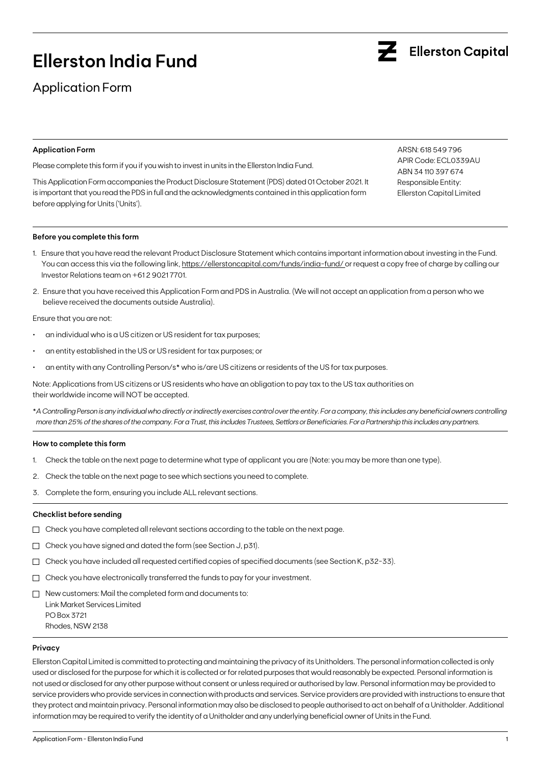# **Ellerston India Fund**

Application Form

### **Application Form**

Please complete this form if you if you wish to invest in units in the Ellerston India Fund.

This Application Form accompanies the Product Disclosure Statement (PDS) dated 01 October 2021. It is important that you read the PDS in full and the acknowledgments contained in this application form before applying for Units ('Units').

ARSN: 618 549 796 APIR Code: ECL0339AU ABN 34 110 397 674 Responsible Entity: Ellerston Capital Limited

### **Before you complete this form**

- 1. Ensure that you have read the relevant Product Disclosure Statement which contains important information about investing in the Fund. You can access this via the following link, https://ellerstoncapital.com/funds/india-fund/ or request a copy free of charge by calling our Investor Relations team on +61 2 9021 7701.
- 2. Ensure that you have received this Application Form and PDS in Australia. (We will not accept an application from a person who we believe received the documents outside Australia).

Ensure that you are not:

- an individual who is a US citizen or US resident for tax purposes;
- an entity established in the US or US resident for tax purposes; or
- an entity with any Controlling Person/s\* who is/are US citizens or residents of the US for tax purposes.

Note: Applications from US citizens or US residents who have an obligation to pay tax to the US tax authorities on their worldwide income will NOT be accepted.

\**A Controlling Person is any individual who directly or indirectly exercises control over the entity. For a company, this includes any beneficial owners controlling more than 25% of the shares of the company. For a Trust, this includes Trustees, Settlors or Beneficiaries. For a Partnership this includes any partners.*

#### **How to complete this form**

- 1. Check the table on the next page to determine what type of applicant you are (Note: you may be more than one type).
- 2. Check the table on the next page to see which sections you need to complete.
- 3. Complete the form, ensuring you include ALL relevant sections.

### **Checklist before sending**

- $\Box$  Check you have completed all relevant sections according to the table on the next page.
- Check you have signed and dated the form (see Section J, p31).
- $\Box$  Check you have included all requested certified copies of specified documents (see Section K, p32-33).
- $\Box$  Check you have electronically transferred the funds to pay for your investment.
- $\Box$  New customers: Mail the completed form and documents to: Link Market Services Limited PO Box 3721 Rhodes, NSW 2138

### **Privacy**

Ellerston Capital Limited is committed to protecting and maintaining the privacy of its Unitholders. The personal information collected is only used or disclosed for the purpose for which it is collected or for related purposes that would reasonably be expected. Personal information is not used or disclosed for any other purpose without consent or unless required or authorised by law. Personal information may be provided to service providers who provide services in connection with products and services. Service providers are provided with instructions to ensure that they protect and maintain privacy. Personal information may also be disclosed to people authorised to act on behalf of a Unitholder. Additional information may be required to verify the identity of a Unitholder and any underlying beneficial owner of Units in the Fund.

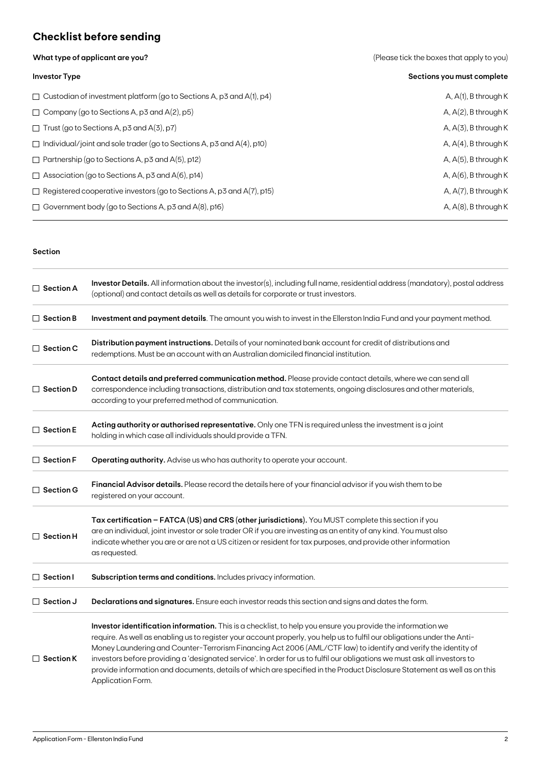## **Checklist before sending**

**What type of applicant are you?** 

|  |  | (Please tick the boxes that apply to you) |  |  |  |
|--|--|-------------------------------------------|--|--|--|
|--|--|-------------------------------------------|--|--|--|

| <b>Investor Type</b>                                                         | Sections you must complete |
|------------------------------------------------------------------------------|----------------------------|
| $\Box$ Custodian of investment platform (go to Sections A, p3 and A(1), p4)  | $A, A(1), B$ through K     |
| $\Box$ Company (go to Sections A, p3 and A(2), p5)                           | A, $A(2)$ , B through K    |
| $\Box$ Trust (go to Sections A, p3 and A(3), p7)                             | $A, A(3)$ , B through K    |
| $\Box$ Individual/joint and sole trader (go to Sections A, p3 and A(4), p10) | A, $A(4)$ , B through K    |
| $\Box$ Partnership (go to Sections A, p3 and A(5), p12)                      | A, $A(5)$ , B through K    |
| $\Box$ Association (go to Sections A, p3 and A(6), p14)                      | A, $A(6)$ , B through K    |
| $\Box$ Registered cooperative investors (go to Sections A, p3 and A(7), p15) | A, A(7), B through K       |
| $\Box$ Government body (go to Sections A, p3 and A(8), p16)                  | A, $A(8)$ , B through K    |

### **Section**

| $\Box$ Section A | Investor Details. All information about the investor(s), including full name, residential address (mandatory), postal address<br>(optional) and contact details as well as details for corporate or trust investors.                                                                                                                                                                                                                                                                                                                                                                                                                    |
|------------------|-----------------------------------------------------------------------------------------------------------------------------------------------------------------------------------------------------------------------------------------------------------------------------------------------------------------------------------------------------------------------------------------------------------------------------------------------------------------------------------------------------------------------------------------------------------------------------------------------------------------------------------------|
| $\Box$ Section B | Investment and payment details. The amount you wish to invest in the Ellerston India Fund and your payment method.                                                                                                                                                                                                                                                                                                                                                                                                                                                                                                                      |
| $\Box$ Section C | Distribution payment instructions. Details of your nominated bank account for credit of distributions and<br>redemptions. Must be an account with an Australian domiciled financial institution.                                                                                                                                                                                                                                                                                                                                                                                                                                        |
| $\Box$ Section D | Contact details and preferred communication method. Please provide contact details, where we can send all<br>correspondence including transactions, distribution and tax statements, ongoing disclosures and other materials,<br>according to your preferred method of communication.                                                                                                                                                                                                                                                                                                                                                   |
| $\Box$ Section E | Acting authority or authorised representative. Only one TFN is required unless the investment is a joint<br>holding in which case all individuals should provide a TFN.                                                                                                                                                                                                                                                                                                                                                                                                                                                                 |
| $\Box$ Section F | Operating authority. Advise us who has authority to operate your account.                                                                                                                                                                                                                                                                                                                                                                                                                                                                                                                                                               |
| $\Box$ Section G | Financial Advisor details. Please record the details here of your financial advisor if you wish them to be<br>registered on your account.                                                                                                                                                                                                                                                                                                                                                                                                                                                                                               |
| $\Box$ Section H | Tax certification - FATCA (US) and CRS (other jurisdictions). You MUST complete this section if you<br>are an individual, joint investor or sole trader OR if you are investing as an entity of any kind. You must also<br>indicate whether you are or are not a US citizen or resident for tax purposes, and provide other information<br>as requested.                                                                                                                                                                                                                                                                                |
| $\Box$ Section I | Subscription terms and conditions. Includes privacy information.                                                                                                                                                                                                                                                                                                                                                                                                                                                                                                                                                                        |
| $\Box$ Section J | Declarations and signatures. Ensure each investor reads this section and signs and dates the form.                                                                                                                                                                                                                                                                                                                                                                                                                                                                                                                                      |
| $\Box$ Section K | Investor identification information. This is a checklist, to help you ensure you provide the information we<br>require. As well as enabling us to register your account properly, you help us to fulfil our obligations under the Anti-<br>Money Laundering and Counter-Terrorism Financing Act 2006 (AML/CTF law) to identify and verify the identity of<br>investors before providing a 'designated service'. In order for us to fulfil our obligations we must ask all investors to<br>provide information and documents, details of which are specified in the Product Disclosure Statement as well as on this<br>Application Form. |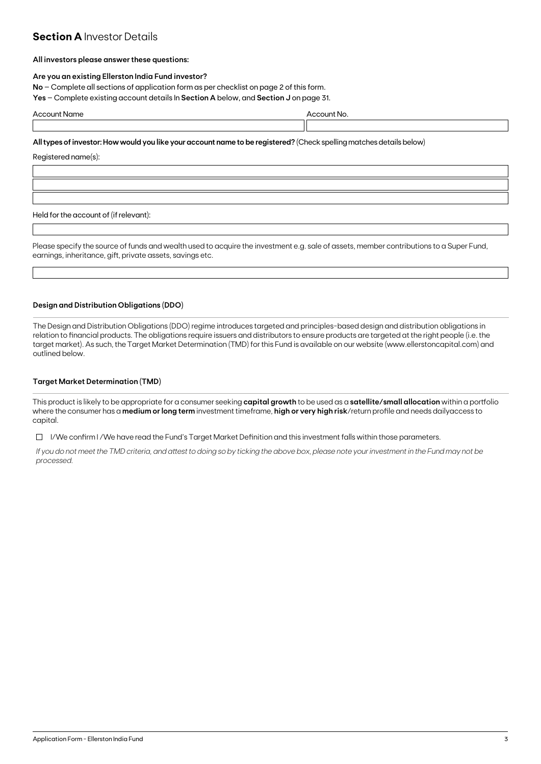### **Section A Investor Details**

### **All investors please answer these questions:**

### **Are you an existing Ellerston India Fund investor?**

**No** – Complete all sections of application form as per checklist on page 2 of this form.

**Yes** – Complete existing account details In **Section A** below, and **Section J** on page 31.

| Acco<br>no<br>סו ו | $- - - - -$<br>* Nic<br>, , , , ,<br>. |
|--------------------|----------------------------------------|
|                    |                                        |

### **All types of investor: How would you like your account name to be registered?** (Check spelling matches details below)

Registered name(s):

Held for the account of (if relevant):

Please specify the source of funds and wealth used to acquire the investment e.g. sale of assets, member contributions to a Super Fund, earnings, inheritance, gift, private assets, savings etc.

### **Design and Distribution Obligations (DDO)**

The Design and Distribution Obligations (DDO) regime introduces targeted and principles-based design and distribution obligations in relation to financial products. The obligations require issuers and distributors to ensure products are targeted at the right people (i.e. the target market). As such, the Target Market Determination (TMD) for this Fund is available on our website (www.ellerstoncapital.com) and outlined below.

### **Target Market Determination (TMD)**

This product is likely to be appropriate for a consumer seeking **capital growth** to be used as a **satellite/small allocation** within a portfolio where the consumer has a **medium or long term** investment timeframe, **high or very high risk**/return profile and needs dailyaccess to capital.

 $\Box$  I/We confirm I/We have read the Fund's Target Market Definition and this investment falls within those parameters.

*If you do not meet the TMD criteria, and attest to doing so by ticking the above box, please note your investment in the Fund may not be processed.*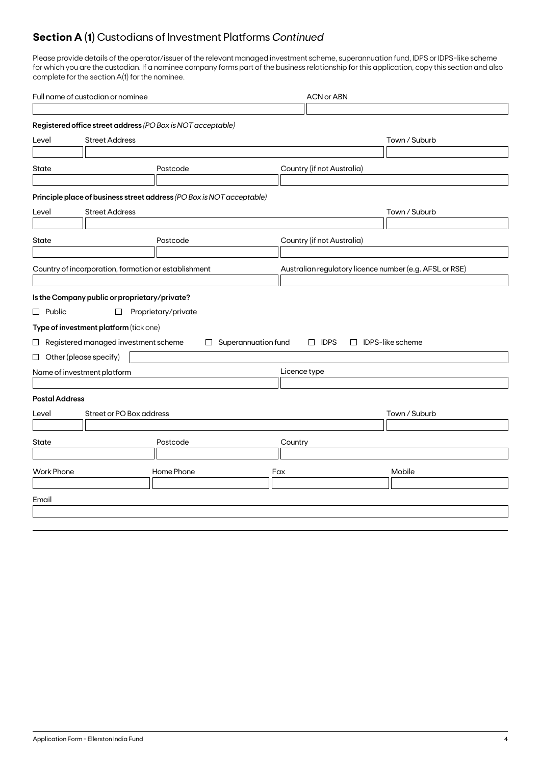## **Section A (1)** Custodians of Investment Platforms *Continued*

Please provide details of the operator/issuer of the relevant managed investment scheme, superannuation fund, IDPS or IDPS-like scheme for which you are the custodian. If a nominee company forms part of the business relationship for this application, copy this section and also complete for the section A(1) for the nominee.

| Full name of custodian or nominee |                                                      |                                                                       |                     | <b>ACN or ABN</b>                                       |                         |  |
|-----------------------------------|------------------------------------------------------|-----------------------------------------------------------------------|---------------------|---------------------------------------------------------|-------------------------|--|
|                                   |                                                      |                                                                       |                     |                                                         |                         |  |
|                                   |                                                      | Registered office street address (PO Box is NOT acceptable)           |                     |                                                         |                         |  |
| Level                             | <b>Street Address</b>                                |                                                                       |                     |                                                         | Town / Suburb           |  |
|                                   |                                                      |                                                                       |                     |                                                         |                         |  |
| State                             |                                                      | Postcode                                                              |                     | Country (if not Australia)                              |                         |  |
|                                   |                                                      |                                                                       |                     |                                                         |                         |  |
|                                   |                                                      | Principle place of business street address (PO Box is NOT acceptable) |                     |                                                         |                         |  |
| Level                             | <b>Street Address</b>                                |                                                                       |                     |                                                         | Town / Suburb           |  |
|                                   |                                                      |                                                                       |                     |                                                         |                         |  |
| State                             |                                                      | Postcode                                                              |                     | Country (if not Australia)                              |                         |  |
|                                   |                                                      |                                                                       |                     |                                                         |                         |  |
|                                   | Country of incorporation, formation or establishment |                                                                       |                     | Australian regulatory licence number (e.g. AFSL or RSE) |                         |  |
|                                   |                                                      |                                                                       |                     |                                                         |                         |  |
|                                   | Is the Company public or proprietary/private?        |                                                                       |                     |                                                         |                         |  |
| $\Box$ Public                     | $\Box$                                               | Proprietary/private                                                   |                     |                                                         |                         |  |
|                                   | Type of investment platform (tick one)               |                                                                       |                     |                                                         |                         |  |
|                                   | $\Box$ Registered managed investment scheme          | $\Box$                                                                | Superannuation fund | $\Box$ IDPS                                             | $\Box$ IDPS-like scheme |  |
|                                   | $\Box$ Other (please specify)                        |                                                                       |                     |                                                         |                         |  |
|                                   | Name of investment platform                          |                                                                       |                     | Licence type                                            |                         |  |
|                                   |                                                      |                                                                       |                     |                                                         |                         |  |
| <b>Postal Address</b>             |                                                      |                                                                       |                     |                                                         |                         |  |
| Level                             | Street or PO Box address                             |                                                                       |                     |                                                         | Town / Suburb           |  |
|                                   |                                                      |                                                                       |                     |                                                         |                         |  |
| State                             |                                                      | Postcode                                                              |                     | Country                                                 |                         |  |
|                                   |                                                      |                                                                       |                     |                                                         |                         |  |
| <b>Work Phone</b>                 |                                                      | Home Phone                                                            |                     | Fax                                                     | Mobile                  |  |
|                                   |                                                      |                                                                       |                     |                                                         |                         |  |
| Email                             |                                                      |                                                                       |                     |                                                         |                         |  |
|                                   |                                                      |                                                                       |                     |                                                         |                         |  |
|                                   |                                                      |                                                                       |                     |                                                         |                         |  |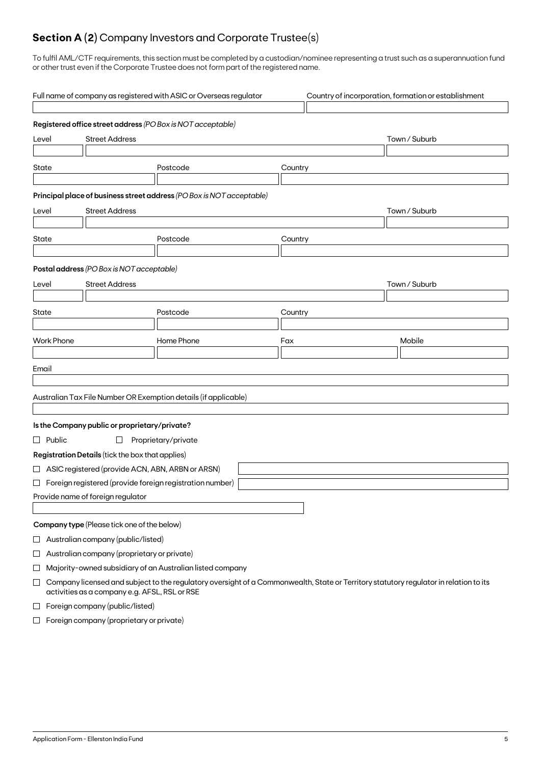## **Section A (2)** Company Investors and Corporate Trustee(s)

To fulfil AML/CTF requirements, this section must be completed by a custodian/nominee representing a trust such as a superannuation fund or other trust even if the Corporate Trustee does not form part of the registered name.

|                                                                       | Full name of company as registered with ASIC or Overseas regulator<br>Country of incorporation, formation or establishment |                                                    |                                                                                                                                       |         |               |  |  |  |
|-----------------------------------------------------------------------|----------------------------------------------------------------------------------------------------------------------------|----------------------------------------------------|---------------------------------------------------------------------------------------------------------------------------------------|---------|---------------|--|--|--|
|                                                                       | Registered office street address (PO Box is NOT acceptable)                                                                |                                                    |                                                                                                                                       |         |               |  |  |  |
| <b>Street Address</b><br>Level                                        |                                                                                                                            |                                                    |                                                                                                                                       |         | Town / Suburb |  |  |  |
| State                                                                 |                                                                                                                            |                                                    | Postcode                                                                                                                              | Country |               |  |  |  |
| Principal place of business street address (PO Box is NOT acceptable) |                                                                                                                            |                                                    |                                                                                                                                       |         |               |  |  |  |
| Level                                                                 |                                                                                                                            | <b>Street Address</b>                              |                                                                                                                                       |         | Town / Suburb |  |  |  |
| State                                                                 |                                                                                                                            |                                                    | Postcode                                                                                                                              | Country |               |  |  |  |
|                                                                       |                                                                                                                            | Postal address (PO Box is NOT acceptable)          |                                                                                                                                       |         |               |  |  |  |
| Level                                                                 |                                                                                                                            | <b>Street Address</b>                              |                                                                                                                                       |         | Town / Suburb |  |  |  |
|                                                                       |                                                                                                                            |                                                    |                                                                                                                                       |         |               |  |  |  |
| State                                                                 |                                                                                                                            |                                                    | Postcode                                                                                                                              | Country |               |  |  |  |
|                                                                       |                                                                                                                            |                                                    |                                                                                                                                       |         |               |  |  |  |
|                                                                       | <b>Work Phone</b>                                                                                                          |                                                    | Home Phone                                                                                                                            | Fax     | Mobile        |  |  |  |
| Email                                                                 |                                                                                                                            |                                                    |                                                                                                                                       |         |               |  |  |  |
|                                                                       |                                                                                                                            |                                                    |                                                                                                                                       |         |               |  |  |  |
|                                                                       |                                                                                                                            |                                                    | Australian Tax File Number OR Exemption details (if applicable)                                                                       |         |               |  |  |  |
|                                                                       |                                                                                                                            |                                                    |                                                                                                                                       |         |               |  |  |  |
|                                                                       |                                                                                                                            | Is the Company public or proprietary/private?      |                                                                                                                                       |         |               |  |  |  |
|                                                                       | $\Box$ Public                                                                                                              | $\Box$                                             | Proprietary/private                                                                                                                   |         |               |  |  |  |
|                                                                       |                                                                                                                            | Registration Details (tick the box that applies)   |                                                                                                                                       |         |               |  |  |  |
|                                                                       |                                                                                                                            | □ ASIC registered (provide ACN, ABN, ARBN or ARSN) |                                                                                                                                       |         |               |  |  |  |
|                                                                       |                                                                                                                            |                                                    | $\Box$ Foreign registered (provide foreign registration number)                                                                       |         |               |  |  |  |
|                                                                       |                                                                                                                            | Provide name of foreign regulator                  |                                                                                                                                       |         |               |  |  |  |
|                                                                       |                                                                                                                            |                                                    |                                                                                                                                       |         |               |  |  |  |
|                                                                       | Company type (Please tick one of the below)                                                                                |                                                    |                                                                                                                                       |         |               |  |  |  |
| $\sqcup$                                                              |                                                                                                                            | Australian company (public/listed)                 |                                                                                                                                       |         |               |  |  |  |
| $\Box$                                                                |                                                                                                                            | Australian company (proprietary or private)        |                                                                                                                                       |         |               |  |  |  |
| ⊔                                                                     |                                                                                                                            |                                                    | Majority-owned subsidiary of an Australian listed company                                                                             |         |               |  |  |  |
| $\Box$                                                                |                                                                                                                            | activities as a company e.g. AFSL, RSL or RSE      | Company licensed and subject to the regulatory oversight of a Commonwealth, State or Territory statutory regulator in relation to its |         |               |  |  |  |
| $\Box$                                                                | Foreign company (public/listed)                                                                                            |                                                    |                                                                                                                                       |         |               |  |  |  |

 $\Box$  Foreign company (proprietary or private)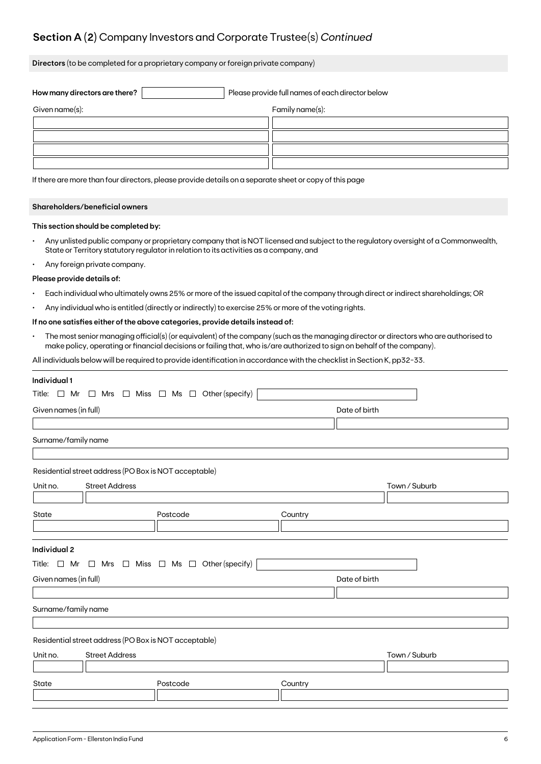## **Section A (2)** Company Investors and Corporate Trustee(s) *Continued*

**Directors** (to be completed for a proprietary company or foreign private company)

| How many directors are there? | Please provide full names of each director below |
|-------------------------------|--------------------------------------------------|
| Given name(s):                | Family name(s):                                  |
|                               |                                                  |
|                               |                                                  |
|                               |                                                  |
|                               |                                                  |

If there are more than four directors, please provide details on a separate sheet or copy of this page

### **Shareholders/beneficial owners**

### **This section should be completed by:**

- Any unlisted public company or proprietary company that is NOT licensed and subject to the regulatory oversight of a Commonwealth, State or Territory statutory regulator in relation to its activities as a company, and
- Any foreign private company.

#### **Please provide details of:**

- Each individual who ultimately owns 25% or more of the issued capital of the company through direct or indirect shareholdings; OR
- Any individual who is entitled (directly or indirectly) to exercise 25% or more of the voting rights.

### **If no one satisfies either of the above categories, provide details instead of:**

• The most senior managing official(s) (or equivalent) of the company (such as the managing director or directors who are authorised to make policy, operating or financial decisions or failing that, who is/are authorized to sign on behalf of the company).

All individuals below will be required to provide identification in accordance with the checklist in Section K, pp32-33.

| Title: $\Box$ Mr $\Box$ Mrs $\Box$ Miss $\Box$ Ms $\Box$ Other (specify)<br>Given names (in full)<br>Date of birth<br>Surname/family name<br>Residential street address (PO Box is NOT acceptable)<br><b>Street Address</b><br>Unit no.<br>Town / Suburb<br>State<br>Postcode<br>Country<br>Individual 2<br>Title: $\Box$ Mr $\Box$ Mrs $\Box$ Miss $\Box$ Ms $\Box$ Other (specify) | Individual 1 |  |  |  |  |  |  |  |
|--------------------------------------------------------------------------------------------------------------------------------------------------------------------------------------------------------------------------------------------------------------------------------------------------------------------------------------------------------------------------------------|--------------|--|--|--|--|--|--|--|
|                                                                                                                                                                                                                                                                                                                                                                                      |              |  |  |  |  |  |  |  |
|                                                                                                                                                                                                                                                                                                                                                                                      |              |  |  |  |  |  |  |  |
|                                                                                                                                                                                                                                                                                                                                                                                      |              |  |  |  |  |  |  |  |
|                                                                                                                                                                                                                                                                                                                                                                                      |              |  |  |  |  |  |  |  |
|                                                                                                                                                                                                                                                                                                                                                                                      |              |  |  |  |  |  |  |  |
|                                                                                                                                                                                                                                                                                                                                                                                      |              |  |  |  |  |  |  |  |
|                                                                                                                                                                                                                                                                                                                                                                                      |              |  |  |  |  |  |  |  |
|                                                                                                                                                                                                                                                                                                                                                                                      |              |  |  |  |  |  |  |  |
|                                                                                                                                                                                                                                                                                                                                                                                      |              |  |  |  |  |  |  |  |
|                                                                                                                                                                                                                                                                                                                                                                                      |              |  |  |  |  |  |  |  |
|                                                                                                                                                                                                                                                                                                                                                                                      |              |  |  |  |  |  |  |  |
|                                                                                                                                                                                                                                                                                                                                                                                      |              |  |  |  |  |  |  |  |
|                                                                                                                                                                                                                                                                                                                                                                                      |              |  |  |  |  |  |  |  |
| Given names (in full)<br>Date of birth                                                                                                                                                                                                                                                                                                                                               |              |  |  |  |  |  |  |  |
|                                                                                                                                                                                                                                                                                                                                                                                      |              |  |  |  |  |  |  |  |
| Surname/family name                                                                                                                                                                                                                                                                                                                                                                  |              |  |  |  |  |  |  |  |
|                                                                                                                                                                                                                                                                                                                                                                                      |              |  |  |  |  |  |  |  |
| Residential street address (PO Box is NOT acceptable)                                                                                                                                                                                                                                                                                                                                |              |  |  |  |  |  |  |  |
| <b>Street Address</b><br>Unit no.<br>Town / Suburb                                                                                                                                                                                                                                                                                                                                   |              |  |  |  |  |  |  |  |
|                                                                                                                                                                                                                                                                                                                                                                                      |              |  |  |  |  |  |  |  |
| State<br>Postcode<br>Country                                                                                                                                                                                                                                                                                                                                                         |              |  |  |  |  |  |  |  |
|                                                                                                                                                                                                                                                                                                                                                                                      |              |  |  |  |  |  |  |  |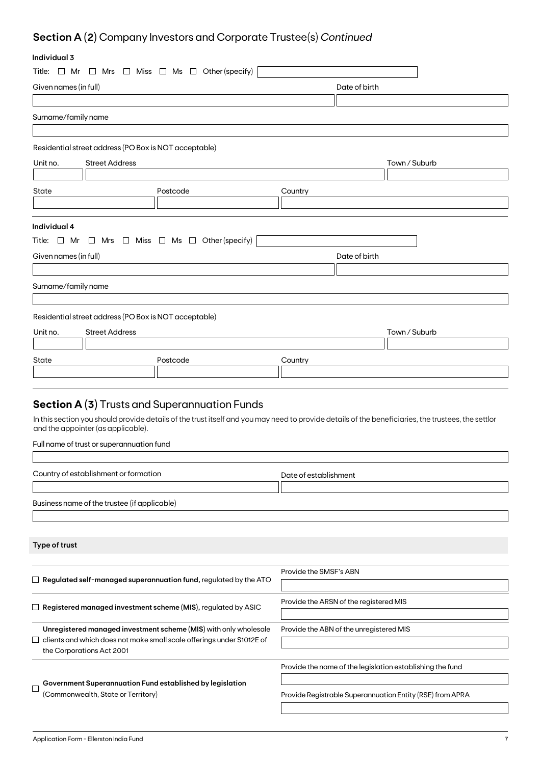## **Section A (2)** Company Investors and Corporate Trustee(s) *Continued*

## **Individual 3**

| ınaıvıauai s          |                                                                                       |                                                                                                                                                    |
|-----------------------|---------------------------------------------------------------------------------------|----------------------------------------------------------------------------------------------------------------------------------------------------|
|                       | Title: $\Box$ Mr $\Box$ Mrs $\Box$ Miss $\Box$ Ms $\Box$ Other (specify)              |                                                                                                                                                    |
| Given names (in full) |                                                                                       | Date of birth                                                                                                                                      |
|                       |                                                                                       |                                                                                                                                                    |
| Surname/family name   |                                                                                       |                                                                                                                                                    |
|                       |                                                                                       |                                                                                                                                                    |
|                       | Residential street address (PO Box is NOT acceptable)                                 |                                                                                                                                                    |
| Unit no.              | <b>Street Address</b>                                                                 | Town / Suburb                                                                                                                                      |
|                       |                                                                                       |                                                                                                                                                    |
| State                 | Postcode                                                                              | Country                                                                                                                                            |
|                       |                                                                                       |                                                                                                                                                    |
|                       |                                                                                       |                                                                                                                                                    |
| Individual 4          |                                                                                       |                                                                                                                                                    |
|                       | Title: $\Box$ Mr $\Box$ Mrs $\Box$ Miss $\Box$ Ms $\Box$ Other (specify)              |                                                                                                                                                    |
| Given names (in full) |                                                                                       | Date of birth                                                                                                                                      |
|                       |                                                                                       |                                                                                                                                                    |
| Surname/family name   |                                                                                       |                                                                                                                                                    |
|                       |                                                                                       |                                                                                                                                                    |
|                       | Residential street address (PO Box is NOT acceptable)                                 |                                                                                                                                                    |
| Unit no.              | <b>Street Address</b>                                                                 | Town / Suburb                                                                                                                                      |
|                       |                                                                                       |                                                                                                                                                    |
| State                 | Postcode                                                                              | Country                                                                                                                                            |
|                       |                                                                                       |                                                                                                                                                    |
|                       |                                                                                       |                                                                                                                                                    |
|                       | <b>Section A (3)</b> Trusts and Superannuation Funds                                  |                                                                                                                                                    |
|                       |                                                                                       | In this section you should provide details of the trust itself and you may need to provide details of the beneficiaries, the trustees, the settlor |
|                       | and the appointer (as applicable).                                                    |                                                                                                                                                    |
|                       | Full name of trust or superannuation fund                                             |                                                                                                                                                    |
|                       |                                                                                       |                                                                                                                                                    |
|                       | Country of establishment or formation                                                 | Date of establishment                                                                                                                              |
|                       |                                                                                       |                                                                                                                                                    |
|                       | Business name of the trustee (if applicable)                                          |                                                                                                                                                    |
|                       |                                                                                       |                                                                                                                                                    |
|                       |                                                                                       |                                                                                                                                                    |
| Type of trust         |                                                                                       |                                                                                                                                                    |
|                       |                                                                                       |                                                                                                                                                    |
|                       |                                                                                       | Provide the SMSF's ABN                                                                                                                             |
|                       | $\Box$ Re <mark>gulated self-managed superannuation fund,</mark> regulated by the ATO |                                                                                                                                                    |
|                       | $\Box$ Registered managed investment scheme (MIS), regulated by ASIC                  | Provide the ARSN of the registered MIS                                                                                                             |
|                       |                                                                                       |                                                                                                                                                    |
|                       | Unregistered managed investment scheme (MIS) with only wholesale                      | Provide the ABN of the unregistered MIS                                                                                                            |
|                       | clients and which does not make small scale offerings under S1012E of                 |                                                                                                                                                    |
|                       | the Corporations Act 2001                                                             |                                                                                                                                                    |
|                       |                                                                                       | Provide the name of the legislation establishing the fund                                                                                          |
|                       | $\overline{\phantom{a}}$ Government Superannuation Fund established by legislation    |                                                                                                                                                    |

 $\hfill \square$ (Commonwealth, State or Territory)

Provide Registrable Superannuation Entity (RSE) from APRA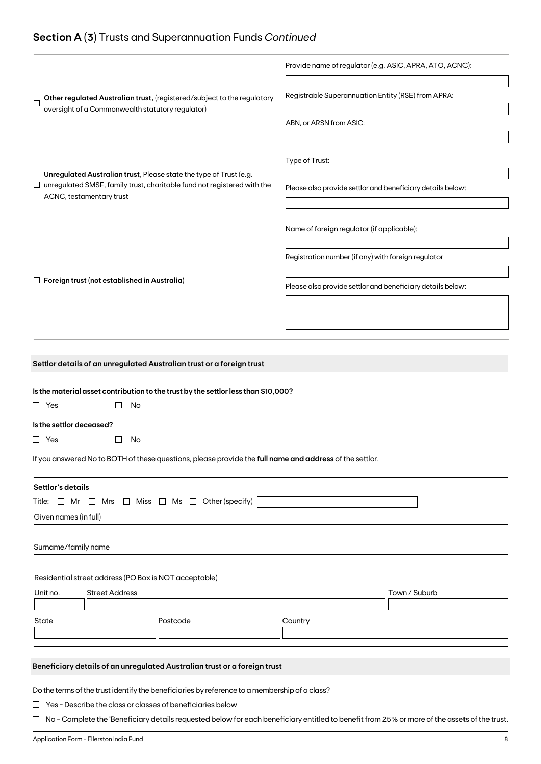## **Section A (3)** Trusts and Superannuation Funds *Continued*

|                                                                                                                                                      | Provide name of regulator (e.g. ASIC, APRA, ATO, ACNC):    |  |
|------------------------------------------------------------------------------------------------------------------------------------------------------|------------------------------------------------------------|--|
| Other regulated Australian trust, (registered/subject to the regulatory<br>$\mathbf{I}$<br>oversight of a Commonwealth statutory regulator)          | Registrable Superannuation Entity (RSE) from APRA:         |  |
|                                                                                                                                                      | ABN, or ARSN from ASIC:                                    |  |
|                                                                                                                                                      |                                                            |  |
|                                                                                                                                                      | Type of Trust:                                             |  |
| Unregulated Australian trust, Please state the type of Trust (e.g.<br>$\Box$ unregulated SMSF, family trust, charitable fund not registered with the |                                                            |  |
| ACNC, testamentary trust                                                                                                                             | Please also provide settlor and beneficiary details below: |  |
|                                                                                                                                                      |                                                            |  |
|                                                                                                                                                      | Name of foreign regulator (if applicable):                 |  |
|                                                                                                                                                      | Registration number (if any) with foreign regulator        |  |
| $\Box$ Foreign trust (not established in Australia)                                                                                                  |                                                            |  |
|                                                                                                                                                      | Please also provide settlor and beneficiary details below: |  |
|                                                                                                                                                      |                                                            |  |
|                                                                                                                                                      |                                                            |  |
|                                                                                                                                                      |                                                            |  |
| Settlor details of an unregulated Australian trust or a foreign trust                                                                                |                                                            |  |
| Is the material asset contribution to the trust by the settlor less than \$10,000?                                                                   |                                                            |  |
| $\Box$ Yes<br>No                                                                                                                                     |                                                            |  |
| Is the settlor deceased?                                                                                                                             |                                                            |  |
| $\Box$ Yes<br>No                                                                                                                                     |                                                            |  |
| If you answered No to BOTH of these questions, please provide the full name and address of the settlor.                                              |                                                            |  |
| Settlor's details                                                                                                                                    |                                                            |  |
| Title: $\Box$ Mr $\Box$ Mrs $\Box$ Miss $\Box$ Ms $\Box$ Other (specify)                                                                             |                                                            |  |
| Given names (in full)                                                                                                                                |                                                            |  |
|                                                                                                                                                      |                                                            |  |
| Surname/family name                                                                                                                                  |                                                            |  |
| Residential street address (PO Box is NOT acceptable)                                                                                                |                                                            |  |
| Unit no.<br><b>Street Address</b>                                                                                                                    | Town / Suburb                                              |  |
|                                                                                                                                                      |                                                            |  |
| State<br>Postcode                                                                                                                                    | Country                                                    |  |
|                                                                                                                                                      |                                                            |  |
|                                                                                                                                                      |                                                            |  |
| Beneficiary details of an unregulated Australian trust or a foreign trust                                                                            |                                                            |  |
| Do the terms of the trust identify the beneficiaries by reference to a membership of a class?                                                        |                                                            |  |
| $\Box$ Yes - Describe the class or classes of beneficiaries below                                                                                    |                                                            |  |

□ No - Complete the 'Beneficiary details requested below for each beneficiary entitled to benefit from 25% or more of the assets of the trust.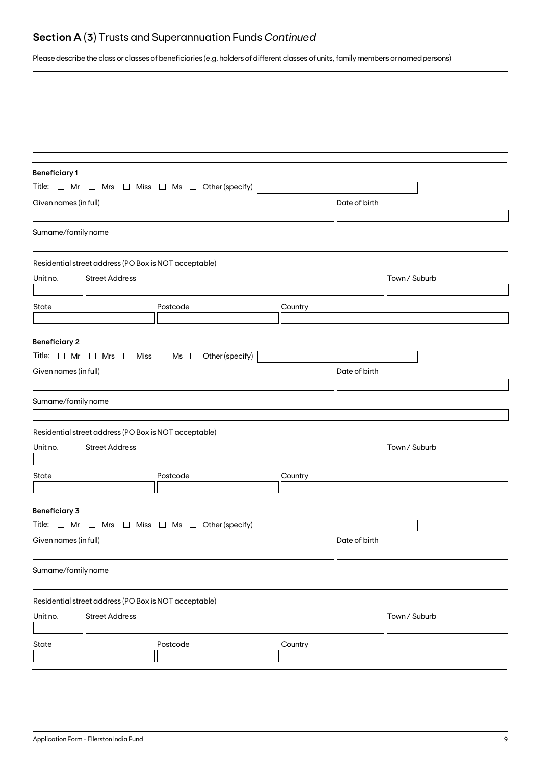## **Section A (3)** Trusts and Superannuation Funds *Continued*

Please describe the class or classes of beneficiaries (e.g. holders of different classes of units, family members or named persons)

| <b>Beneficiary1</b>   |                                                                                |                                                                          |         |               |               |  |  |
|-----------------------|--------------------------------------------------------------------------------|--------------------------------------------------------------------------|---------|---------------|---------------|--|--|
|                       |                                                                                | Title: $\Box$ Mr $\Box$ Mrs $\Box$ Miss $\Box$ Ms $\Box$ Other (specify) |         |               |               |  |  |
| Given names (in full) |                                                                                |                                                                          |         | Date of birth |               |  |  |
|                       |                                                                                |                                                                          |         |               |               |  |  |
| Surname/family name   |                                                                                |                                                                          |         |               |               |  |  |
|                       |                                                                                |                                                                          |         |               |               |  |  |
|                       | Residential street address (PO Box is NOT acceptable)                          |                                                                          |         |               |               |  |  |
| Unit no.              | <b>Street Address</b>                                                          |                                                                          |         |               | Town / Suburb |  |  |
| State                 |                                                                                |                                                                          |         |               |               |  |  |
|                       |                                                                                | Postcode                                                                 | Country |               |               |  |  |
|                       |                                                                                |                                                                          |         |               |               |  |  |
| <b>Beneficiary 2</b>  |                                                                                |                                                                          |         |               |               |  |  |
|                       |                                                                                | Title: $\Box$ Mr $\Box$ Mrs $\Box$ Miss $\Box$ Ms $\Box$ Other (specify) |         |               |               |  |  |
|                       | Given names (in full)<br>Date of birth                                         |                                                                          |         |               |               |  |  |
|                       |                                                                                |                                                                          |         |               |               |  |  |
| Surname/family name   |                                                                                |                                                                          |         |               |               |  |  |
|                       |                                                                                |                                                                          |         |               |               |  |  |
| Unit no.              | Residential street address (PO Box is NOT acceptable)<br><b>Street Address</b> |                                                                          |         |               | Town / Suburb |  |  |
|                       |                                                                                |                                                                          |         |               |               |  |  |
| State                 |                                                                                | Postcode                                                                 | Country |               |               |  |  |
|                       |                                                                                |                                                                          |         |               |               |  |  |
| <b>Beneficiary 3</b>  |                                                                                |                                                                          |         |               |               |  |  |
|                       |                                                                                | Title: $\Box$ Mr $\Box$ Mrs $\Box$ Miss $\Box$ Ms $\Box$ Other (specify) |         |               |               |  |  |
| Given names (in full) |                                                                                |                                                                          |         | Date of birth |               |  |  |
|                       |                                                                                |                                                                          |         |               |               |  |  |
| Surname/family name   |                                                                                |                                                                          |         |               |               |  |  |
|                       |                                                                                |                                                                          |         |               |               |  |  |
|                       | Residential street address (PO Box is NOT acceptable)                          |                                                                          |         |               |               |  |  |
| Unit no.              | <b>Street Address</b>                                                          |                                                                          |         |               | Town / Suburb |  |  |
|                       |                                                                                |                                                                          |         |               |               |  |  |
| State                 |                                                                                | Postcode                                                                 | Country |               |               |  |  |
|                       |                                                                                |                                                                          |         |               |               |  |  |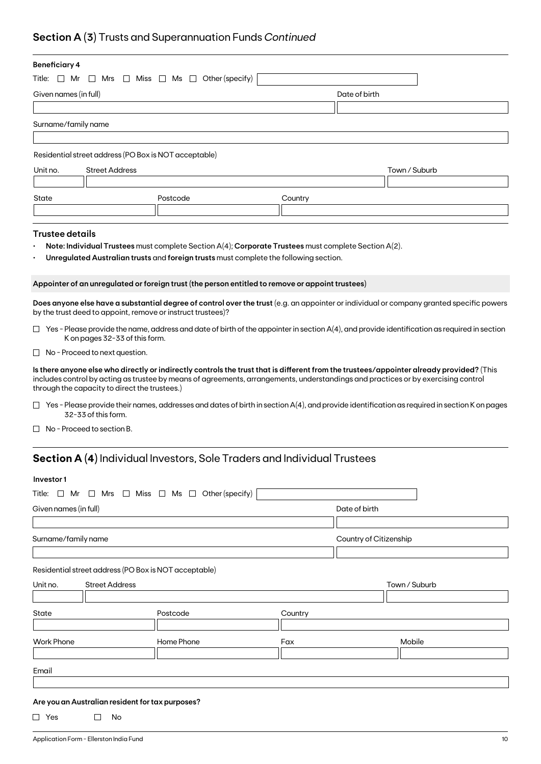## **Section A (3)** Trusts and Superannuation Funds *Continued*

| <b>Beneficiary 4</b>                                                                                                                                                                                                                                                                                                           |                                                                                                      |                        |               |  |  |  |
|--------------------------------------------------------------------------------------------------------------------------------------------------------------------------------------------------------------------------------------------------------------------------------------------------------------------------------|------------------------------------------------------------------------------------------------------|------------------------|---------------|--|--|--|
| $\Box$ Miss $\Box$ Ms $\Box$ Other (specify)<br>Title:<br>$\Box$ Mr<br>∟l Mrs                                                                                                                                                                                                                                                  |                                                                                                      |                        |               |  |  |  |
| Given names (in full)                                                                                                                                                                                                                                                                                                          |                                                                                                      | Date of birth          |               |  |  |  |
|                                                                                                                                                                                                                                                                                                                                |                                                                                                      |                        |               |  |  |  |
| Surname/family name                                                                                                                                                                                                                                                                                                            |                                                                                                      |                        |               |  |  |  |
|                                                                                                                                                                                                                                                                                                                                |                                                                                                      |                        |               |  |  |  |
| Residential street address (PO Box is NOT acceptable)                                                                                                                                                                                                                                                                          |                                                                                                      |                        |               |  |  |  |
| Unit no.<br><b>Street Address</b>                                                                                                                                                                                                                                                                                              |                                                                                                      |                        | Town / Suburb |  |  |  |
|                                                                                                                                                                                                                                                                                                                                |                                                                                                      |                        |               |  |  |  |
| State                                                                                                                                                                                                                                                                                                                          | Postcode                                                                                             | Country                |               |  |  |  |
|                                                                                                                                                                                                                                                                                                                                |                                                                                                      |                        |               |  |  |  |
| <b>Trustee details</b>                                                                                                                                                                                                                                                                                                         |                                                                                                      |                        |               |  |  |  |
|                                                                                                                                                                                                                                                                                                                                | Note: Individual Trustees must complete Section A(4); Corporate Trustees must complete Section A(2). |                        |               |  |  |  |
|                                                                                                                                                                                                                                                                                                                                | Unregulated Australian trusts and foreign trusts must complete the following section.                |                        |               |  |  |  |
|                                                                                                                                                                                                                                                                                                                                |                                                                                                      |                        |               |  |  |  |
| Appointer of an unregulated or foreign trust (the person entitled to remove or appoint trustees)                                                                                                                                                                                                                               |                                                                                                      |                        |               |  |  |  |
| Does anyone else have a substantial degree of control over the trust (e.g. an appointer or individual or company granted specific powers<br>by the trust deed to appoint, remove or instruct trustees)?                                                                                                                        |                                                                                                      |                        |               |  |  |  |
| $\Box$ Yes - Please provide the name, address and date of birth of the appointer in section A(4), and provide identification as required in section<br>K on pages 32-33 of this form.                                                                                                                                          |                                                                                                      |                        |               |  |  |  |
| $\Box$ No - Proceed to next question.                                                                                                                                                                                                                                                                                          |                                                                                                      |                        |               |  |  |  |
| Is there anyone else who directly or indirectly controls the trust that is different from the trustees/appointer already provided? (This<br>includes control by acting as trustee by means of agreements, arrangements, understandings and practices or by exercising control<br>through the capacity to direct the trustees.) |                                                                                                      |                        |               |  |  |  |
| $\Box$ Yes - Please provide their names, addresses and dates of birth in section A(4), and provide identification as required in section K on pages<br>32-33 of this form.                                                                                                                                                     |                                                                                                      |                        |               |  |  |  |
| $\Box$ No - Proceed to section B.                                                                                                                                                                                                                                                                                              |                                                                                                      |                        |               |  |  |  |
| <b>Section A (4)</b> Individual Investors, Sole Traders and Individual Trustees                                                                                                                                                                                                                                                |                                                                                                      |                        |               |  |  |  |
| Investor1                                                                                                                                                                                                                                                                                                                      |                                                                                                      |                        |               |  |  |  |
| Title: $\Box$ Mr $\Box$ Mrs $\Box$ Miss $\Box$ Ms $\Box$ Other (specify)                                                                                                                                                                                                                                                       |                                                                                                      |                        |               |  |  |  |
| Given names (in full)                                                                                                                                                                                                                                                                                                          |                                                                                                      | Date of birth          |               |  |  |  |
|                                                                                                                                                                                                                                                                                                                                |                                                                                                      |                        |               |  |  |  |
|                                                                                                                                                                                                                                                                                                                                |                                                                                                      |                        |               |  |  |  |
| Surname/family name                                                                                                                                                                                                                                                                                                            |                                                                                                      | Country of Citizenship |               |  |  |  |
|                                                                                                                                                                                                                                                                                                                                |                                                                                                      |                        |               |  |  |  |

Residential street address (PO Box is NOT acceptable)

| Unit no.          | <b>Street Address</b> |            | Town / Suburb |        |
|-------------------|-----------------------|------------|---------------|--------|
|                   |                       |            |               |        |
| State             |                       | Postcode   | Country       |        |
| <b>Work Phone</b> |                       | Home Phone | Fax           | Mobile |
|                   |                       |            |               |        |
| Email             |                       |            |               |        |
|                   |                       |            |               |        |

### **Are you an Australian resident for tax purposes?**

 $\Box$  Yes  $\Box$  No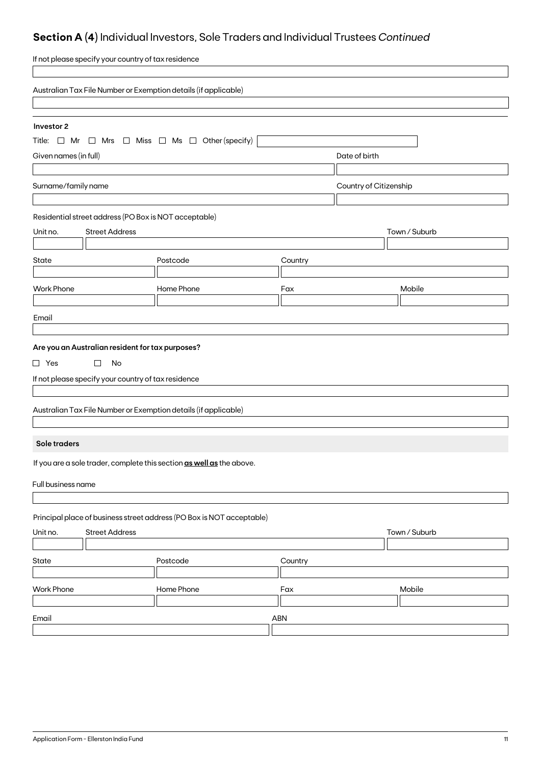## **Section A (4)** Individual Investors, Sole Traders and Individual Trustees *Continued*

| If not please specify your country of tax residence                                        |                                                                 |         |                        |               |  |  |  |
|--------------------------------------------------------------------------------------------|-----------------------------------------------------------------|---------|------------------------|---------------|--|--|--|
|                                                                                            | Australian Tax File Number or Exemption details (if applicable) |         |                        |               |  |  |  |
|                                                                                            |                                                                 |         |                        |               |  |  |  |
| Investor 2<br>Title: $\Box$ Mr $\Box$ Mrs $\Box$ Miss $\Box$ Ms $\Box$ Other (specify)     |                                                                 |         |                        |               |  |  |  |
| Given names (in full)<br>Date of birth                                                     |                                                                 |         |                        |               |  |  |  |
|                                                                                            |                                                                 |         |                        |               |  |  |  |
| Surname/family name                                                                        |                                                                 |         | Country of Citizenship |               |  |  |  |
|                                                                                            |                                                                 |         |                        |               |  |  |  |
| Residential street address (PO Box is NOT acceptable)<br><b>Street Address</b><br>Unit no. |                                                                 |         |                        | Town / Suburb |  |  |  |
|                                                                                            |                                                                 |         |                        |               |  |  |  |
| <b>State</b>                                                                               | Postcode                                                        | Country |                        |               |  |  |  |
|                                                                                            |                                                                 |         |                        |               |  |  |  |
| <b>Work Phone</b>                                                                          | Home Phone                                                      | Fax     |                        | Mobile        |  |  |  |
| Email                                                                                      |                                                                 |         |                        |               |  |  |  |
|                                                                                            |                                                                 |         |                        |               |  |  |  |
| Are you an Australian resident for tax purposes?                                           |                                                                 |         |                        |               |  |  |  |
| $\Box$ Yes<br>$\Box$<br>No                                                                 |                                                                 |         |                        |               |  |  |  |
| If not please specify your country of tax residence                                        |                                                                 |         |                        |               |  |  |  |
|                                                                                            |                                                                 |         |                        |               |  |  |  |
| Australian Tax File Number or Exemption details (if applicable)                            |                                                                 |         |                        |               |  |  |  |
|                                                                                            |                                                                 |         |                        |               |  |  |  |
| Sole traders                                                                               |                                                                 |         |                        |               |  |  |  |
| If you are a sole trader, complete this section as well as the above.                      |                                                                 |         |                        |               |  |  |  |
| Full business name                                                                         |                                                                 |         |                        |               |  |  |  |
|                                                                                            |                                                                 |         |                        |               |  |  |  |
| Principal place of business street address (PO Box is NOT acceptable)                      |                                                                 |         |                        |               |  |  |  |
| <b>Street Address</b><br>Unit no.                                                          |                                                                 |         |                        | Town / Suburb |  |  |  |
|                                                                                            |                                                                 |         |                        |               |  |  |  |
| State                                                                                      | Postcode                                                        | Country |                        |               |  |  |  |
| <b>Work Phone</b>                                                                          | Home Phone                                                      | Fax     |                        | Mobile        |  |  |  |
|                                                                                            |                                                                 |         |                        |               |  |  |  |
| Email                                                                                      |                                                                 | ABN     |                        |               |  |  |  |
|                                                                                            |                                                                 |         |                        |               |  |  |  |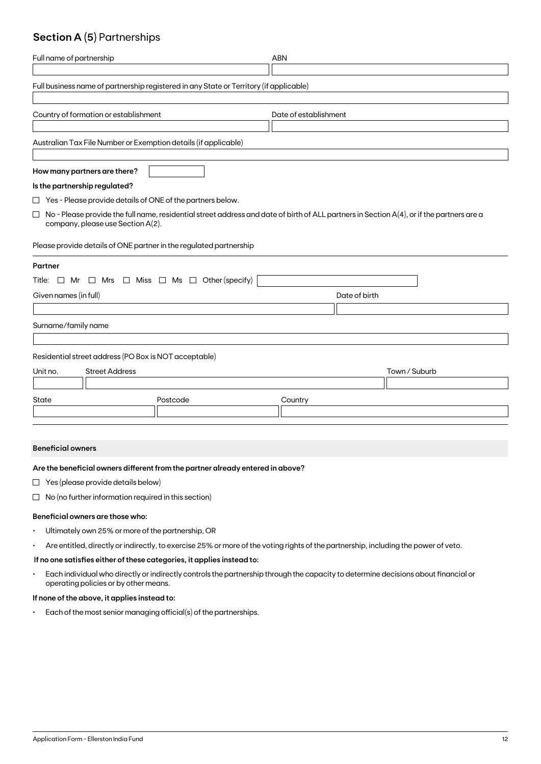## **Section A (5)** Partnerships

| Full name of partnership                                                                                                                                                                 | <b>ABN</b>            |  |  |  |  |  |  |
|------------------------------------------------------------------------------------------------------------------------------------------------------------------------------------------|-----------------------|--|--|--|--|--|--|
| Full business name of partnership registered in any State or Territory (if applicable)                                                                                                   |                       |  |  |  |  |  |  |
| Country of formation or establishment                                                                                                                                                    | Date of establishment |  |  |  |  |  |  |
| Australian Tax File Number or Exemption details (if applicable)                                                                                                                          |                       |  |  |  |  |  |  |
| How many partners are there?                                                                                                                                                             |                       |  |  |  |  |  |  |
| Is the partnership regulated?                                                                                                                                                            |                       |  |  |  |  |  |  |
| $\Box$ Yes - Please provide details of ONE of the partners below.                                                                                                                        |                       |  |  |  |  |  |  |
| $\Box$<br>No - Please provide the full name, residential street address and date of birth of ALL partners in Section A(4), or if the partners are a<br>company, please use Section A(2). |                       |  |  |  |  |  |  |
| Please provide details of ONE partner in the regulated partnership                                                                                                                       |                       |  |  |  |  |  |  |
| Partner                                                                                                                                                                                  |                       |  |  |  |  |  |  |
| $\Box$ Mrs $\Box$ Miss $\Box$ Ms $\Box$ Other (specify)<br>Title: $\Box$ Mr                                                                                                              |                       |  |  |  |  |  |  |
| Given names (in full)                                                                                                                                                                    | Date of birth         |  |  |  |  |  |  |
|                                                                                                                                                                                          |                       |  |  |  |  |  |  |
| Surname/family name                                                                                                                                                                      |                       |  |  |  |  |  |  |
| Residential street address (PO Box is NOT acceptable)                                                                                                                                    |                       |  |  |  |  |  |  |
| <b>Street Address</b><br>Unit no.                                                                                                                                                        | Town / Suburb         |  |  |  |  |  |  |
|                                                                                                                                                                                          |                       |  |  |  |  |  |  |
| State<br>Postcode                                                                                                                                                                        | Country               |  |  |  |  |  |  |
|                                                                                                                                                                                          |                       |  |  |  |  |  |  |

### **Beneficial owners**

### **Are the beneficial owners different from the partner already entered in above?**

- $\Box$  Yes (please provide details below)
- $\Box$  No (no further information required in this section)

### **Beneficial owners are those who:**

- Ultimately own 25% or more of the partnership, OR
- Are entitled, directly or indirectly, to exercise 25% or more of the voting rights of the partnership, including the power of veto.

### **If no one satisfies either of these categories, it applies instead to:**

• Each individual who directly or indirectly controls the partnership through the capacity to determine decisions about financial or operating policies or by other means.

### **If none of the above, it applies instead to:**

• Each of the most senior managing official(s) of the partnerships.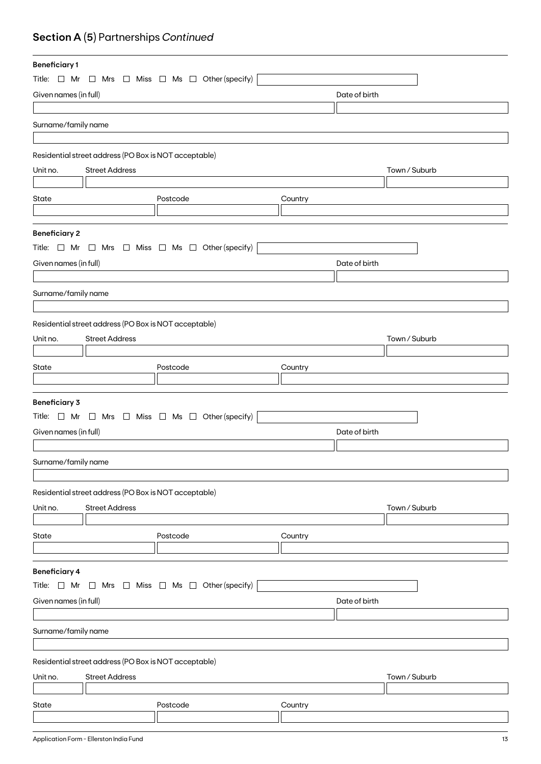## **Section A (5)** Partnerships *Continued*

| <b>Beneficiary1</b>   |                                                       |                                                                          |               |               |  |
|-----------------------|-------------------------------------------------------|--------------------------------------------------------------------------|---------------|---------------|--|
| Title: $\Box$ Mr      |                                                       | $\Box$ Mrs $\Box$ Miss $\Box$ Ms $\Box$ Other (specify)                  |               |               |  |
| Given names (in full) |                                                       |                                                                          | Date of birth |               |  |
|                       |                                                       |                                                                          |               |               |  |
| Surname/family name   |                                                       |                                                                          |               |               |  |
|                       |                                                       |                                                                          |               |               |  |
|                       |                                                       |                                                                          |               |               |  |
|                       | Residential street address (PO Box is NOT acceptable) |                                                                          |               |               |  |
| Unit no.              | <b>Street Address</b>                                 |                                                                          |               | Town / Suburb |  |
|                       |                                                       |                                                                          |               |               |  |
| State                 |                                                       | Postcode                                                                 | Country       |               |  |
|                       |                                                       |                                                                          |               |               |  |
| <b>Beneficiary 2</b>  |                                                       |                                                                          |               |               |  |
|                       |                                                       | Title: $\Box$ Mr $\Box$ Mrs $\Box$ Miss $\Box$ Ms $\Box$ Other (specify) |               |               |  |
| Given names (in full) |                                                       |                                                                          | Date of birth |               |  |
|                       |                                                       |                                                                          |               |               |  |
|                       |                                                       |                                                                          |               |               |  |
| Surname/family name   |                                                       |                                                                          |               |               |  |
|                       |                                                       |                                                                          |               |               |  |
|                       | Residential street address (PO Box is NOT acceptable) |                                                                          |               |               |  |
| Unit no.              | <b>Street Address</b>                                 |                                                                          |               | Town / Suburb |  |
|                       |                                                       |                                                                          |               |               |  |
| State                 |                                                       | Postcode                                                                 | Country       |               |  |
|                       |                                                       |                                                                          |               |               |  |
| <b>Beneficiary 3</b>  |                                                       |                                                                          |               |               |  |
|                       |                                                       | Title: $\Box$ Mr $\Box$ Mrs $\Box$ Miss $\Box$ Ms $\Box$ Other (specify) |               |               |  |
| Given names (in full) |                                                       |                                                                          | Date of birth |               |  |
|                       |                                                       |                                                                          |               |               |  |
|                       |                                                       |                                                                          |               |               |  |
| Surname/family name   |                                                       |                                                                          |               |               |  |
|                       |                                                       |                                                                          |               |               |  |
|                       | Residential street address (PO Box is NOT acceptable) |                                                                          |               |               |  |
| Unit no.              | <b>Street Address</b>                                 |                                                                          |               | Town / Suburb |  |
|                       |                                                       |                                                                          |               |               |  |
| State                 |                                                       | Postcode                                                                 | Country       |               |  |
|                       |                                                       |                                                                          |               |               |  |
|                       |                                                       |                                                                          |               |               |  |
| <b>Beneficiary 4</b>  |                                                       |                                                                          |               |               |  |
| Title: $\Box$ Mr      | $\Box$                                                | Mrs $\Box$ Miss $\Box$ Ms $\Box$ Other (specify)                         |               |               |  |
| Given names (in full) |                                                       |                                                                          | Date of birth |               |  |
|                       |                                                       |                                                                          |               |               |  |
| Surname/family name   |                                                       |                                                                          |               |               |  |
|                       |                                                       |                                                                          |               |               |  |
|                       | Residential street address (PO Box is NOT acceptable) |                                                                          |               |               |  |
| Unit no.              | <b>Street Address</b>                                 |                                                                          |               | Town / Suburb |  |
|                       |                                                       |                                                                          |               |               |  |
| State                 |                                                       | Postcode                                                                 | Country       |               |  |
|                       |                                                       |                                                                          |               |               |  |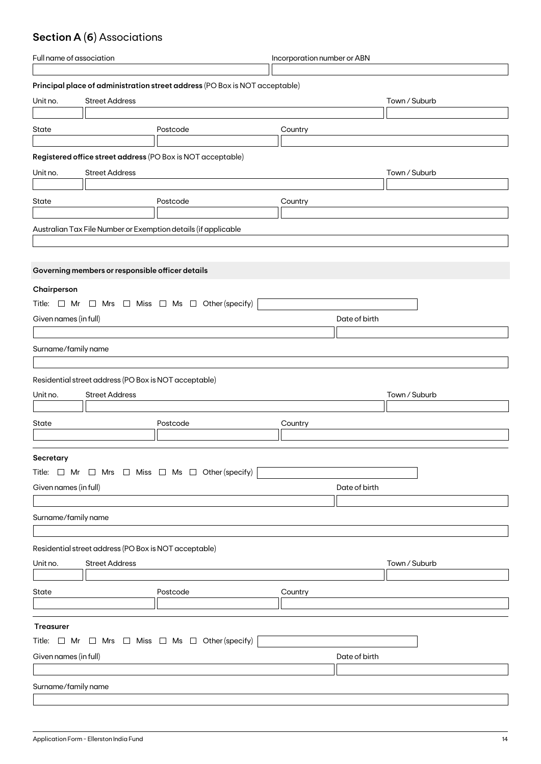## **Section A (6)** Associations

| <b>Street Address</b><br>Town / Suburb<br>Postcode<br>Country<br><b>Street Address</b><br>Town / Suburb<br>Postcode<br>Country                                                                                              |
|-----------------------------------------------------------------------------------------------------------------------------------------------------------------------------------------------------------------------------|
| Principal place of administration street address (PO Box is NOT acceptable)                                                                                                                                                 |
| Unit no.<br>State<br>Registered office street address (PO Box is NOT acceptable)<br>Unit no.<br>State<br>Australian Tax File Number or Exemption details (if applicable<br>Governing members or responsible officer details |
|                                                                                                                                                                                                                             |
|                                                                                                                                                                                                                             |
|                                                                                                                                                                                                                             |
|                                                                                                                                                                                                                             |
|                                                                                                                                                                                                                             |
|                                                                                                                                                                                                                             |
|                                                                                                                                                                                                                             |
|                                                                                                                                                                                                                             |
|                                                                                                                                                                                                                             |
|                                                                                                                                                                                                                             |
|                                                                                                                                                                                                                             |
|                                                                                                                                                                                                                             |
|                                                                                                                                                                                                                             |
|                                                                                                                                                                                                                             |
|                                                                                                                                                                                                                             |
| Chairperson                                                                                                                                                                                                                 |
| Title: $\Box$ Mr $\Box$ Mrs $\Box$ Miss $\Box$ Ms $\Box$ Other (specify)                                                                                                                                                    |
| Given names (in full)<br>Date of birth                                                                                                                                                                                      |
|                                                                                                                                                                                                                             |
| Surname/family name                                                                                                                                                                                                         |
|                                                                                                                                                                                                                             |
|                                                                                                                                                                                                                             |
| Residential street address (PO Box is NOT acceptable)                                                                                                                                                                       |
| <b>Street Address</b><br>Town / Suburb<br>Unit no.                                                                                                                                                                          |
|                                                                                                                                                                                                                             |
|                                                                                                                                                                                                                             |
|                                                                                                                                                                                                                             |
|                                                                                                                                                                                                                             |
| Secretary                                                                                                                                                                                                                   |
| Title: $\Box$ Mr $\Box$ Mrs $\Box$ Miss $\Box$ Ms $\Box$ Other (specify)                                                                                                                                                    |
|                                                                                                                                                                                                                             |
|                                                                                                                                                                                                                             |
|                                                                                                                                                                                                                             |
|                                                                                                                                                                                                                             |
| Surname/family name                                                                                                                                                                                                         |
|                                                                                                                                                                                                                             |
| Residential street address (PO Box is NOT acceptable)                                                                                                                                                                       |
| Unit no.<br><b>Street Address</b><br>Town / Suburb                                                                                                                                                                          |
|                                                                                                                                                                                                                             |
|                                                                                                                                                                                                                             |
| Postcode<br>Country                                                                                                                                                                                                         |
|                                                                                                                                                                                                                             |
| State<br><b>Treasurer</b>                                                                                                                                                                                                   |
|                                                                                                                                                                                                                             |
| Title: $\Box$ Mr $\Box$ Mrs $\Box$ Miss $\Box$ Ms $\Box$ Other (specify)                                                                                                                                                    |
| Given names (in full)<br>Date of birth                                                                                                                                                                                      |
|                                                                                                                                                                                                                             |
| Surname/family name                                                                                                                                                                                                         |
| State<br>Postcode<br>Country<br>Given names (in full)<br>Date of birth                                                                                                                                                      |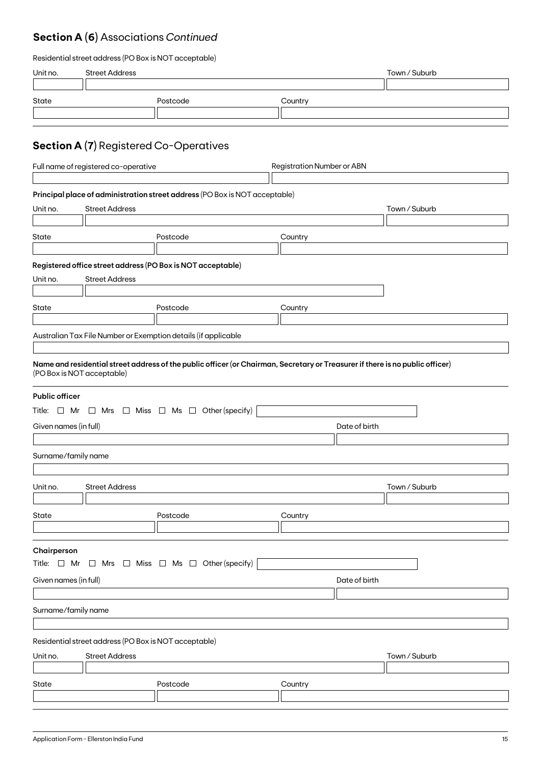## **Section A (6)** Associations *Continued*

| Residential street address (PO Box is NOT acceptable) |  |  |
|-------------------------------------------------------|--|--|
|-------------------------------------------------------|--|--|

| Unit no.                                                                                                                          | <b>Street Address</b>                |                                                                                                                                                                                                                                                                            |                                   | Town / Suburb |  |
|-----------------------------------------------------------------------------------------------------------------------------------|--------------------------------------|----------------------------------------------------------------------------------------------------------------------------------------------------------------------------------------------------------------------------------------------------------------------------|-----------------------------------|---------------|--|
| State                                                                                                                             |                                      | Postcode                                                                                                                                                                                                                                                                   | Country                           |               |  |
|                                                                                                                                   |                                      | <b>Section A (7)</b> Registered Co-Operatives                                                                                                                                                                                                                              |                                   |               |  |
|                                                                                                                                   | Full name of registered co-operative |                                                                                                                                                                                                                                                                            | <b>Registration Number or ABN</b> |               |  |
| Unit no.                                                                                                                          | <b>Street Address</b>                | Principal place of administration street address (PO Box is NOT acceptable)                                                                                                                                                                                                |                                   | Town / Suburb |  |
| State                                                                                                                             |                                      | Postcode                                                                                                                                                                                                                                                                   | Country                           |               |  |
| Unit no.<br>State                                                                                                                 | <b>Street Address</b>                | Registered office street address (PO Box is NOT acceptable)<br>Postcode<br>Australian Tax File Number or Exemption details (if applicable<br>Name and residential street address of the public officer (or Chairman, Secretary or Treasurer if there is no public officer) | Country                           |               |  |
| (PO Box is NOT acceptable)<br><b>Public officer</b><br>Given names (in full)<br>Surname/family name                               |                                      | Title: $\Box$ Mr $\Box$ Mrs $\Box$ Miss $\Box$ Ms $\Box$ Other (specify)                                                                                                                                                                                                   | Date of birth                     |               |  |
| Unit no.                                                                                                                          | <b>Street Address</b>                |                                                                                                                                                                                                                                                                            |                                   | Town / Suburb |  |
| State                                                                                                                             |                                      | Postcode                                                                                                                                                                                                                                                                   | Country                           |               |  |
| Chairperson<br>Title: $\Box$ Mr $\Box$ Mrs $\Box$ Miss $\Box$ Ms $\Box$ Other (specify)<br>Given names (in full)<br>Date of birth |                                      |                                                                                                                                                                                                                                                                            |                                   |               |  |
| Surname/family name                                                                                                               |                                      |                                                                                                                                                                                                                                                                            |                                   |               |  |
| Residential street address (PO Box is NOT acceptable)<br><b>Street Address</b><br>Unit no.                                        |                                      |                                                                                                                                                                                                                                                                            |                                   | Town / Suburb |  |
| State                                                                                                                             |                                      | Postcode                                                                                                                                                                                                                                                                   | Country                           |               |  |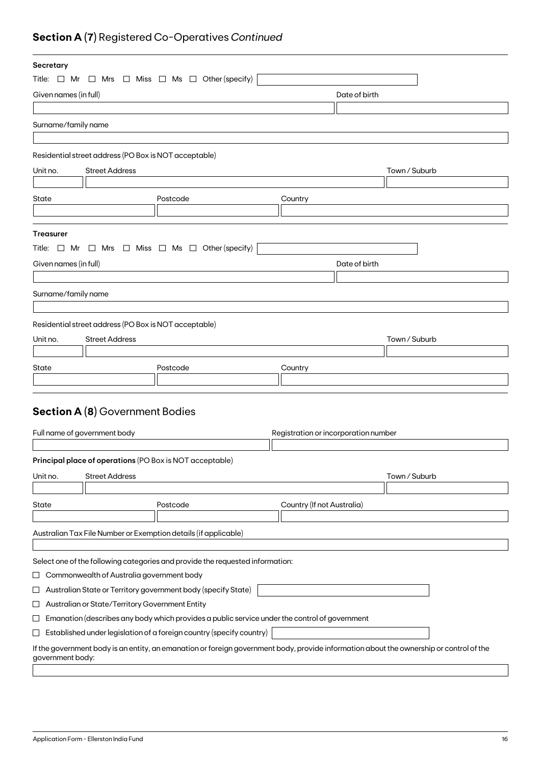## **Section A (7)** Registered Co-Operatives *Continued*

| Secretary             |                                                               |                                                                                                                                         |                                      |               |               |  |
|-----------------------|---------------------------------------------------------------|-----------------------------------------------------------------------------------------------------------------------------------------|--------------------------------------|---------------|---------------|--|
|                       |                                                               | Title: $\Box$ Mr $\Box$ Mrs $\Box$ Miss $\Box$ Ms $\Box$ Other (specify)                                                                |                                      |               |               |  |
| Given names (in full) |                                                               |                                                                                                                                         |                                      | Date of birth |               |  |
|                       |                                                               |                                                                                                                                         |                                      |               |               |  |
| Surname/family name   |                                                               |                                                                                                                                         |                                      |               |               |  |
|                       |                                                               |                                                                                                                                         |                                      |               |               |  |
|                       | Residential street address (PO Box is NOT acceptable)         |                                                                                                                                         |                                      |               |               |  |
| Unit no.              | <b>Street Address</b>                                         |                                                                                                                                         |                                      |               | Town / Suburb |  |
|                       |                                                               |                                                                                                                                         |                                      |               |               |  |
| State                 |                                                               | Postcode                                                                                                                                | Country                              |               |               |  |
|                       |                                                               |                                                                                                                                         |                                      |               |               |  |
|                       |                                                               |                                                                                                                                         |                                      |               |               |  |
| <b>Treasurer</b>      |                                                               |                                                                                                                                         |                                      |               |               |  |
| Title: □ Mr           |                                                               | $\Box$ Mrs $\Box$ Miss $\Box$ Ms $\Box$ Other (specify)                                                                                 |                                      |               |               |  |
| Given names (in full) |                                                               |                                                                                                                                         | Date of birth                        |               |               |  |
|                       |                                                               |                                                                                                                                         |                                      |               |               |  |
| Surname/family name   |                                                               |                                                                                                                                         |                                      |               |               |  |
|                       |                                                               |                                                                                                                                         |                                      |               |               |  |
|                       | Residential street address (PO Box is NOT acceptable)         |                                                                                                                                         |                                      |               |               |  |
| Unit no.              | <b>Street Address</b>                                         |                                                                                                                                         |                                      |               | Town / Suburb |  |
|                       |                                                               |                                                                                                                                         |                                      |               |               |  |
| State                 |                                                               | Postcode                                                                                                                                | Country                              |               |               |  |
|                       |                                                               |                                                                                                                                         |                                      |               |               |  |
|                       |                                                               |                                                                                                                                         |                                      |               |               |  |
|                       | <b>Section A (8)</b> Government Bodies                        |                                                                                                                                         |                                      |               |               |  |
|                       |                                                               |                                                                                                                                         |                                      |               |               |  |
|                       | Full name of government body                                  |                                                                                                                                         | Registration or incorporation number |               |               |  |
|                       |                                                               |                                                                                                                                         |                                      |               |               |  |
|                       |                                                               | Principal place of operations (PO Box is NOT acceptable)                                                                                |                                      |               |               |  |
| Unit no.              | <b>Street Address</b>                                         |                                                                                                                                         |                                      |               | Town / Suburb |  |
|                       |                                                               |                                                                                                                                         |                                      |               |               |  |
| State                 |                                                               | Postcode                                                                                                                                | Country (If not Australia)           |               |               |  |
|                       |                                                               |                                                                                                                                         |                                      |               |               |  |
|                       |                                                               | Australian Tax File Number or Exemption details (if applicable)                                                                         |                                      |               |               |  |
|                       |                                                               |                                                                                                                                         |                                      |               |               |  |
|                       |                                                               | Select one of the following categories and provide the requested information:                                                           |                                      |               |               |  |
| ⊔                     | Commonwealth of Australia government body                     |                                                                                                                                         |                                      |               |               |  |
| ⊔                     | Australian State or Territory government body (specify State) |                                                                                                                                         |                                      |               |               |  |
| ப                     | Australian or State/Territory Government Entity               |                                                                                                                                         |                                      |               |               |  |
| ப                     |                                                               | Emanation (describes any body which provides a public service under the control of government                                           |                                      |               |               |  |
| ⊔                     |                                                               | Established under legislation of a foreign country (specify country)                                                                    |                                      |               |               |  |
| government body:      |                                                               | If the government body is an entity, an emanation or foreign government body, provide information about the ownership or control of the |                                      |               |               |  |
|                       |                                                               |                                                                                                                                         |                                      |               |               |  |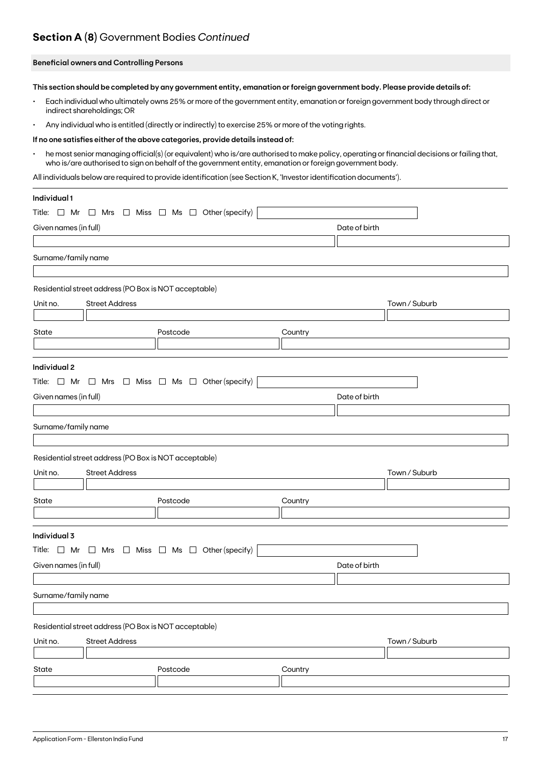## **Section A (8)** Government Bodies *Continued*

### **Beneficial owners and Controlling Persons**

**This section should be completed by any government entity, emanation or foreign government body. Please provide details of:**

- Each individual who ultimately owns 25% or more of the government entity, emanation or foreign government body through direct or indirect shareholdings; OR
- Any individual who is entitled (directly or indirectly) to exercise 25% or more of the voting rights.

#### **If no one satisfies either of the above categories, provide details instead of:**

• he most senior managing official(s) (or equivalent) who is/are authorised to make policy, operating or financial decisions or failing that, who is/are authorised to sign on behalf of the government entity, emanation or foreign government body.

All individuals below are required to provide identification (see Section K, 'Investor identification documents').

| Individual 1          |                                                       |                                                                          |         |               |               |
|-----------------------|-------------------------------------------------------|--------------------------------------------------------------------------|---------|---------------|---------------|
| Title: $\Box$ Mr      |                                                       | $\Box$ Mrs $\Box$ Miss $\Box$ Ms $\Box$ Other (specify)                  |         |               |               |
| Given names (in full) |                                                       |                                                                          |         | Date of birth |               |
|                       |                                                       |                                                                          |         |               |               |
| Surname/family name   |                                                       |                                                                          |         |               |               |
|                       |                                                       |                                                                          |         |               |               |
|                       | Residential street address (PO Box is NOT acceptable) |                                                                          |         |               |               |
| Unit no.              | <b>Street Address</b>                                 |                                                                          |         |               | Town / Suburb |
|                       |                                                       |                                                                          |         |               |               |
| State                 |                                                       | Postcode                                                                 | Country |               |               |
|                       |                                                       |                                                                          |         |               |               |
| Individual 2          |                                                       |                                                                          |         |               |               |
|                       |                                                       | Title: $\Box$ Mr $\Box$ Mrs $\Box$ Miss $\Box$ Ms $\Box$ Other (specify) |         |               |               |
| Given names (in full) |                                                       |                                                                          |         | Date of birth |               |
|                       |                                                       |                                                                          |         |               |               |
| Surname/family name   |                                                       |                                                                          |         |               |               |
|                       |                                                       |                                                                          |         |               |               |
|                       | Residential street address (PO Box is NOT acceptable) |                                                                          |         |               |               |
| Unit no.              | <b>Street Address</b>                                 |                                                                          |         |               | Town / Suburb |
|                       |                                                       |                                                                          |         |               |               |
| State                 |                                                       | Postcode                                                                 | Country |               |               |
|                       |                                                       |                                                                          |         |               |               |
| Individual 3          |                                                       |                                                                          |         |               |               |
|                       |                                                       | Title: $\Box$ Mr $\Box$ Mrs $\Box$ Miss $\Box$ Ms $\Box$ Other (specify) |         |               |               |
| Given names (in full) |                                                       |                                                                          |         | Date of birth |               |
|                       |                                                       |                                                                          |         |               |               |
| Surname/family name   |                                                       |                                                                          |         |               |               |
|                       |                                                       |                                                                          |         |               |               |
|                       | Residential street address (PO Box is NOT acceptable) |                                                                          |         |               |               |
| Unit no.              | <b>Street Address</b>                                 |                                                                          |         |               | Town / Suburb |
|                       |                                                       |                                                                          |         |               |               |
| State                 |                                                       | Postcode                                                                 | Country |               |               |
|                       |                                                       |                                                                          |         |               |               |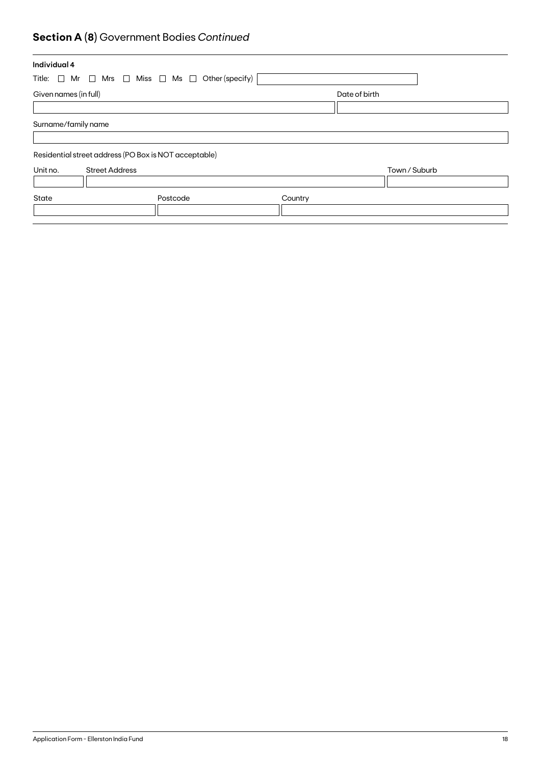## **Section A (8)** Government Bodies *Continued*

| Individual 4                                                             |          |         |               |               |
|--------------------------------------------------------------------------|----------|---------|---------------|---------------|
| Title: $\Box$ Mr $\Box$ Mrs $\Box$ Miss $\Box$ Ms $\Box$ Other (specify) |          |         |               |               |
| Given names (in full)                                                    |          |         | Date of birth |               |
|                                                                          |          |         |               |               |
| Surname/family name                                                      |          |         |               |               |
| Residential street address (PO Box is NOT acceptable)                    |          |         |               |               |
| Unit no.<br><b>Street Address</b>                                        |          |         |               | Town / Suburb |
| State                                                                    | Postcode | Country |               |               |
|                                                                          |          |         |               |               |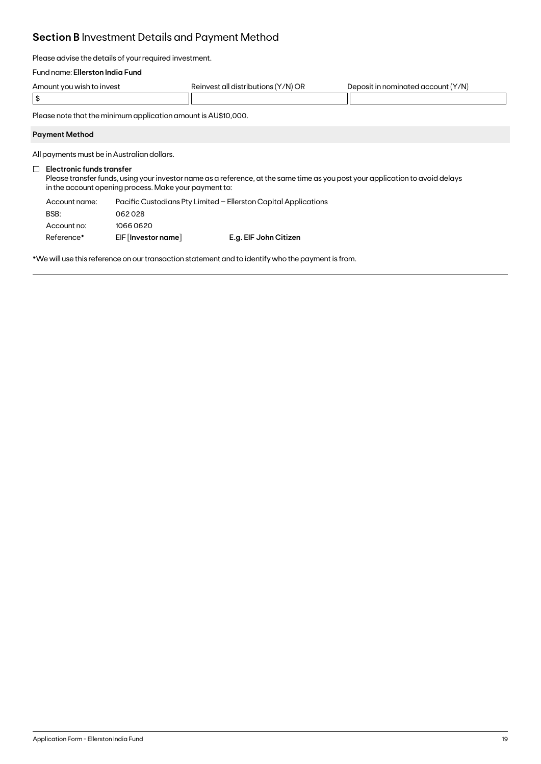## **Section B** Investment Details and Payment Method

Please advise the details of your required investment.

### Fund name: **Ellerston India Fund**

| Amount you wish to invest | Reinvest all distributions (Y/N) OR | Deposit in nominated account (Y/N) |
|---------------------------|-------------------------------------|------------------------------------|
|                           |                                     |                                    |

Please note that the minimum application amount is AU\$10,000.

### **Payment Method**

All payments must be in Australian dollars.

### **Electronic funds transfer**

Please transfer funds, using your investor name as a reference, at the same time as you post your application to avoid delays in the account opening process. Make your payment to:

| Account name: |                       | Pacific Custodians Pty Limited - Ellerston Capital Applications |
|---------------|-----------------------|-----------------------------------------------------------------|
| BSB:          | 062028                |                                                                 |
| Account no:   | 10660620              |                                                                 |
| Reference*    | $EIF$ [Investor name] | E.g. EIF John Citizen                                           |

\*We will use this reference on our transaction statement and to identify who the payment is from.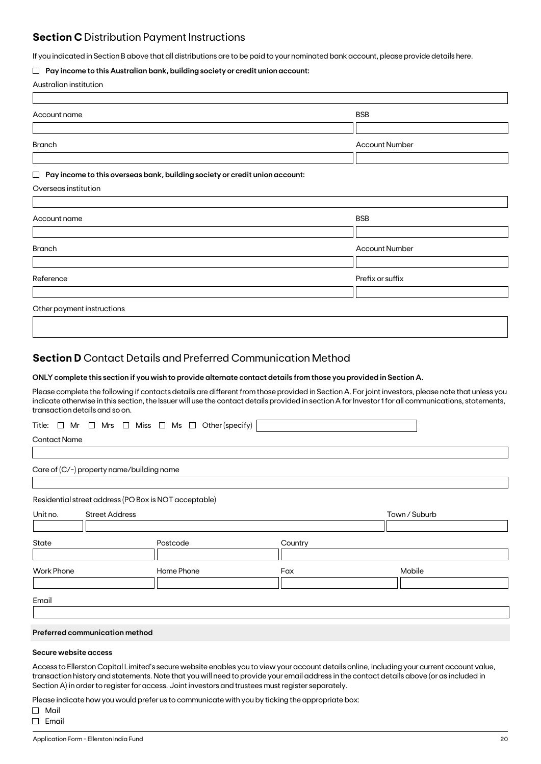### **Section C** Distribution Payment Instructions

If you indicated in Section B above that all distributions are to be paid to your nominated bank account, please provide details here.

### **Pay income to this Australian bank, building society or credit union account:**

|  | Australian institution |
|--|------------------------|
|--|------------------------|

| Account name                                                                          | <b>BSB</b>            |
|---------------------------------------------------------------------------------------|-----------------------|
|                                                                                       |                       |
| <b>Branch</b>                                                                         | <b>Account Number</b> |
|                                                                                       |                       |
| Pay income to this overseas bank, building society or credit union account:<br>$\Box$ |                       |
| Overseas institution                                                                  |                       |
|                                                                                       |                       |
| Account name                                                                          | <b>BSB</b>            |
|                                                                                       |                       |
| <b>Branch</b>                                                                         | <b>Account Number</b> |
|                                                                                       |                       |
| Reference                                                                             | Prefix or suffix      |
|                                                                                       |                       |
| Other payment instructions                                                            |                       |
|                                                                                       |                       |

### **Section D** Contact Details and Preferred Communication Method

### **ONLY complete this section if you wish to provide alternate contact details from those you provided in Section A.**

Please complete the following if contacts details are different from those provided in Section A. For joint investors, please note that unless you indicate otherwise in this section, the Issuer will use the contact details provided in section A for Investor 1 for all communications, statements, transaction details and so on.

|  |  |  |  |  |  |  |  |  |  | Title: $\Box$ Mr $\Box$ Mrs $\Box$ Miss $\Box$ Ms $\Box$ Other (specify) |  |
|--|--|--|--|--|--|--|--|--|--|--------------------------------------------------------------------------|--|
|--|--|--|--|--|--|--|--|--|--|--------------------------------------------------------------------------|--|

Contact Name

Care of (C/-) property name/building name

Residential street address (PO Box is NOT acceptable)

| Unit no.          | <b>Street Address</b> |            |         | Town / Suburb |
|-------------------|-----------------------|------------|---------|---------------|
|                   |                       |            |         |               |
| State             |                       | Postcode   | Country |               |
|                   |                       |            |         |               |
| <b>Work Phone</b> |                       | Home Phone | Fax     | Mobile        |
|                   |                       |            |         |               |
|                   |                       |            |         |               |
| Email             |                       |            |         |               |

### **Preferred communication method**

### **Secure website access**

Access to Ellerston Capital Limited's secure website enables you to view your account details online, including your current account value, transaction history and statements. Note that you will need to provide your email address in the contact details above (or as included in Section A) in order to register for access. Joint investors and trustees must register separately.

Please indicate how you would prefer us to communicate with you by ticking the appropriate box:

Mail  $\Box$  Email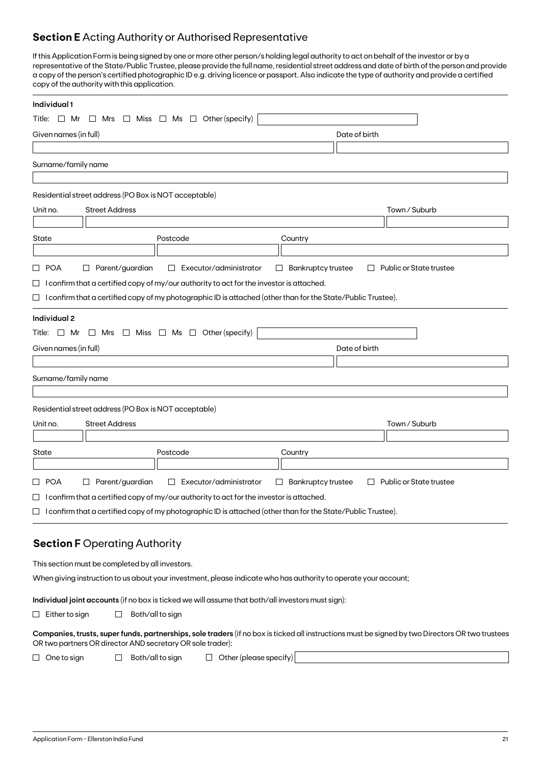### **Section E** Acting Authority or Authorised Representative

If this Application Form is being signed by one or more other person/s holding legal authority to act on behalf of the investor or by a representative of the State/Public Trustee, please provide the full name, residential street address and date of birth of the person and provide a copy of the person's certified photographic ID e.g. driving licence or passport. Also indicate the type of authority and provide a certified copy of the authority with this application.

| Individual 1          |                                                       |                                                                                                                     |                                     |                                                                                                                                                  |
|-----------------------|-------------------------------------------------------|---------------------------------------------------------------------------------------------------------------------|-------------------------------------|--------------------------------------------------------------------------------------------------------------------------------------------------|
| Title:<br>$\Box$ Mr   | $\Box$ Mrs                                            | Other (specify)<br>$\Box$ Miss $\Box$ Ms $\Box$                                                                     |                                     |                                                                                                                                                  |
| Given names (in full) |                                                       |                                                                                                                     | Date of birth                       |                                                                                                                                                  |
|                       |                                                       |                                                                                                                     |                                     |                                                                                                                                                  |
| Surname/family name   |                                                       |                                                                                                                     |                                     |                                                                                                                                                  |
|                       |                                                       |                                                                                                                     |                                     |                                                                                                                                                  |
|                       | Residential street address (PO Box is NOT acceptable) |                                                                                                                     |                                     |                                                                                                                                                  |
| Unit no.              | <b>Street Address</b>                                 |                                                                                                                     |                                     | Town / Suburb                                                                                                                                    |
|                       |                                                       |                                                                                                                     |                                     |                                                                                                                                                  |
| State                 |                                                       | Postcode                                                                                                            | Country                             |                                                                                                                                                  |
| □ POA                 | Parent/guardian<br>ப                                  | Executor/administrator<br>$\Box$                                                                                    | <b>Bankruptcy trustee</b><br>$\Box$ | Public or State trustee<br>$\Box$                                                                                                                |
|                       |                                                       | $\Box$ I confirm that a certified copy of my/our authority to act for the investor is attached.                     |                                     |                                                                                                                                                  |
|                       |                                                       | $\Box$ I confirm that a certified copy of my photographic ID is attached (other than for the State/Public Trustee). |                                     |                                                                                                                                                  |
| <b>Individual 2</b>   |                                                       |                                                                                                                     |                                     |                                                                                                                                                  |
|                       |                                                       | Title: $\Box$ Mr $\Box$ Mrs $\Box$ Miss $\Box$ Ms $\Box$ Other (specify)                                            |                                     |                                                                                                                                                  |
| Given names (in full) |                                                       |                                                                                                                     | Date of birth                       |                                                                                                                                                  |
|                       |                                                       |                                                                                                                     |                                     |                                                                                                                                                  |
| Surname/family name   |                                                       |                                                                                                                     |                                     |                                                                                                                                                  |
|                       |                                                       |                                                                                                                     |                                     |                                                                                                                                                  |
|                       | Residential street address (PO Box is NOT acceptable) |                                                                                                                     |                                     |                                                                                                                                                  |
| Unit no.              | <b>Street Address</b>                                 |                                                                                                                     |                                     | Town / Suburb                                                                                                                                    |
|                       |                                                       |                                                                                                                     |                                     |                                                                                                                                                  |
| State                 |                                                       | Postcode                                                                                                            | Country                             |                                                                                                                                                  |
|                       |                                                       |                                                                                                                     |                                     |                                                                                                                                                  |
| □ POA                 | $\Box$ Parent/guardian                                | Executor/administrator<br>$\Box$                                                                                    | <b>Bankruptcy trustee</b><br>$\Box$ | Public or State trustee<br>$\Box$                                                                                                                |
|                       |                                                       | $\Box$ I confirm that a certified copy of my/our authority to act for the investor is attached.                     |                                     |                                                                                                                                                  |
|                       |                                                       | $\Box$ I confirm that a certified copy of my photographic ID is attached (other than for the State/Public Trustee). |                                     |                                                                                                                                                  |
|                       |                                                       |                                                                                                                     |                                     |                                                                                                                                                  |
|                       | <b>Section F Operating Authority</b>                  |                                                                                                                     |                                     |                                                                                                                                                  |
|                       | This section must be completed by all investors.      |                                                                                                                     |                                     |                                                                                                                                                  |
|                       |                                                       | When giving instruction to us about your investment, please indicate who has authority to operate your account;     |                                     |                                                                                                                                                  |
|                       |                                                       |                                                                                                                     |                                     |                                                                                                                                                  |
|                       |                                                       | Individual joint accounts (if no box is ticked we will assume that both/all investors must sign):                   |                                     |                                                                                                                                                  |
| $\Box$ Either to sign | ப                                                     | Both/all to sign                                                                                                    |                                     |                                                                                                                                                  |
|                       |                                                       | OR two partners OR director AND secretary OR sole trader):                                                          |                                     | Companies, trusts, super funds, partnerships, sole traders (if no box is ticked all instructions must be signed by two Directors OR two trustees |
| One to sign<br>$\Box$ | $\Box$                                                | $\Box$ Other (please specify)<br>Both/all to sign                                                                   |                                     |                                                                                                                                                  |
|                       |                                                       |                                                                                                                     |                                     |                                                                                                                                                  |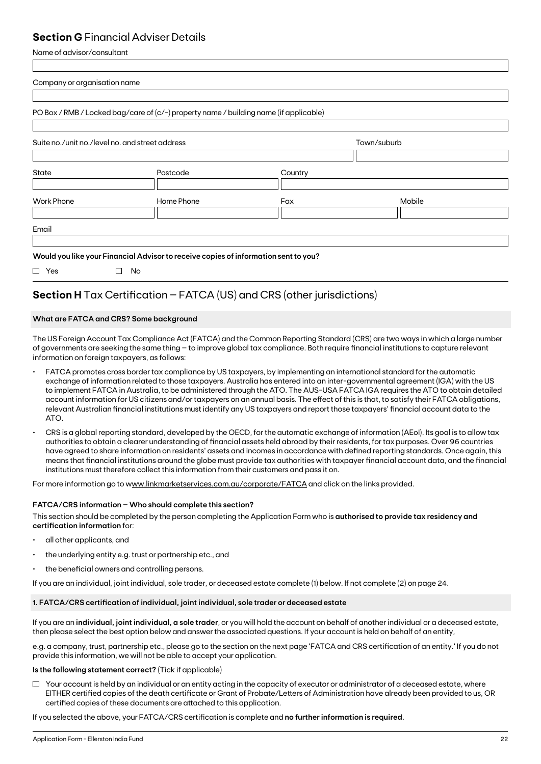### **Section G** Financial Adviser Details

Name of advisor/consultant

| Company or organisation name                    |                                                                                       |         |             |  |
|-------------------------------------------------|---------------------------------------------------------------------------------------|---------|-------------|--|
|                                                 | PO Box / RMB / Locked bag/care of (c/-) property name / building name (if applicable) |         |             |  |
| Suite no./unit no./level no. and street address |                                                                                       |         | Town/suburb |  |
| State                                           | Postcode                                                                              | Country |             |  |
| <b>Work Phone</b>                               | Home Phone                                                                            | Fax     | Mobile      |  |
| Email                                           |                                                                                       |         |             |  |
|                                                 | Would you like your Financial Advisor to receive copies of information sent to you?   |         |             |  |
| $\Box$ Yes                                      | $\Box$<br>No                                                                          |         |             |  |

## **Section H** Tax Certification – FATCA (US) and CRS (other jurisdictions)

### **What are FATCA and CRS? Some background**

The US Foreign Account Tax Compliance Act (FATCA) and the Common Reporting Standard (CRS) are two ways in which a large number of governments are seeking the same thing – to improve global tax compliance. Both require financial institutions to capture relevant information on foreign taxpayers, as follows:

- FATCA promotes cross border tax compliance by US taxpayers, by implementing an international standard for the automatic exchange of information related to those taxpayers. Australia has entered into an inter-governmental agreement (IGA) with the US to implement FATCA in Australia, to be administered through the ATO. The AUS-USA FATCA IGA requires the ATO to obtain detailed account information for US citizens and/or taxpayers on an annual basis. The effect of this is that, to satisfy their FATCA obligations, relevant Australian financial institutions must identify any US taxpayers and report those taxpayers' financial account data to the ATO.
- CRS is a global reporting standard, developed by the OECD, for the automatic exchange of information (AEoI). Its goal is to allow tax authorities to obtain a clearer understanding of financial assets held abroad by their residents, for tax purposes. Over 96 countries have agreed to share information on residents' assets and incomes in accordance with defined reporting standards. Once again, this means that financial institutions around the globe must provide tax authorities with taxpayer financial account data, and the financial institutions must therefore collect this information from their customers and pass it on.

For more information go to www.linkmarketservices.com.au/corporate/FATCA and click on the links provided.

### **FATCA/CRS information – Who should complete this section?**

This section should be completed by the person completing the Application Form who is **authorised to provide tax residency and certification information** for:

- all other applicants, and
- the underlying entity e.g. trust or partnership etc., and
- the beneficial owners and controlling persons.

If you are an individual, joint individual, sole trader, or deceased estate complete (1) below. If not complete (2) on page 24.

### **1. FATCA/CRS certification of individual, joint individual, sole trader or deceased estate**

If you are an **individual, joint individual, a sole trader**, or you will hold the account on behalf of another individual or a deceased estate, then please select the best option below and answer the associated questions. If your account is held on behalf of an entity,

e.g. a company, trust, partnership etc., please go to the section on the next page 'FATCA and CRS certification of an entity.' If you do not provide this information, we will not be able to accept your application.

### **Is the following statement correct?** (Tick if applicable)

 $\Box$  Your account is held by an individual or an entity acting in the capacity of executor or administrator of a deceased estate, where EITHER certified copies of the death certificate or Grant of Probate/Letters of Administration have already been provided to us, OR certified copies of these documents are attached to this application.

If you selected the above, your FATCA/CRS certification is complete and **no further information is required**.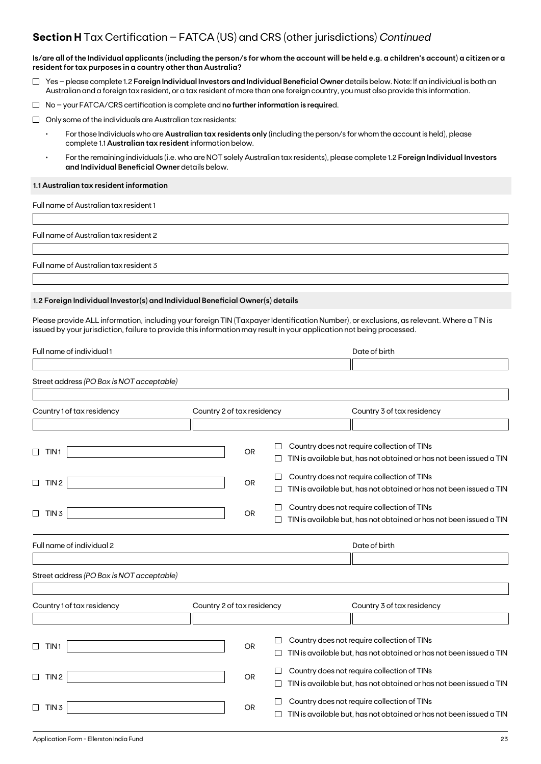### **Section H** Tax Certification – FATCA (US) and CRS (other jurisdictions) *Continued*

**Is/are all of the Individual applicants (including the person/s for whom the account will be held e.g. a children's account) a citizen or a resident for tax purposes in a country other than Australia?**

- Yes please complete 1.2 **Foreign Individual Investors and Individual Beneficial Owner** details below. Note: If an individual is both an Australian and a foreign tax resident, or a tax resident of more than one foreign country, you must also provide this information.
- No your FATCA/CRS certification is complete and **no further information is require**d.
- $\Box$  Only some of the individuals are Australian tax residents:
	- For those Individuals who are **Australian tax residents only** (including the person/s for whom the account is held), please complete 1.1 **Australian tax resident** information below.
	- For the remaining individuals (i.e. who are NOT solely Australian tax residents), please complete 1.2 **Foreign Individual Investors and Individual Beneficial Owner** details below.

### **1.1 Australian tax resident information**

Full name of Australian tax resident 1

Full name of Australian tax resident 2

Full name of Australian tax resident 3

### **1.2 Foreign Individual Investor(s) and Individual Beneficial Owner(s) details**

Please provide ALL information, including your foreign TIN (Taxpayer Identification Number), or exclusions, as relevant. Where a TIN is issued by your jurisdiction, failure to provide this information may result in your application not being processed.

| Full name of individual 1                 |                            |              | Date of birth                                                       |
|-------------------------------------------|----------------------------|--------------|---------------------------------------------------------------------|
|                                           |                            |              |                                                                     |
| Street address (PO Box is NOT acceptable) |                            |              |                                                                     |
|                                           |                            |              |                                                                     |
| Country 1 of tax residency                | Country 2 of tax residency |              | Country 3 of tax residency                                          |
|                                           |                            |              |                                                                     |
|                                           |                            |              | Country does not require collection of TINs                         |
| TIN <sub>1</sub>                          |                            | <b>OR</b>    | TIN is available but, has not obtained or has not been issued a TIN |
| TIN <sub>2</sub><br>□                     |                            | <b>OR</b>    | Country does not require collection of TINs                         |
|                                           |                            |              | TIN is available but, has not obtained or has not been issued a TIN |
| П<br>TIN <sub>3</sub>                     |                            | <b>OR</b>    | Country does not require collection of TINs                         |
|                                           |                            |              | TIN is available but, has not obtained or has not been issued a TIN |
| Full name of individual 2                 |                            |              | Date of birth                                                       |
|                                           |                            |              |                                                                     |
| Street address (PO Box is NOT acceptable) |                            |              |                                                                     |
|                                           |                            |              |                                                                     |
| Country 1 of tax residency                | Country 2 of tax residency |              | Country 3 of tax residency                                          |
|                                           |                            |              |                                                                     |
|                                           |                            |              | Country does not require collection of TINs                         |
| TIN <sub>1</sub>                          |                            | <b>OR</b>    | TIN is available but, has not obtained or has not been issued a TIN |
|                                           |                            | $\mathsf{L}$ | Country does not require collection of TINs                         |
| TIN <sub>2</sub><br>$\mathbf{L}$          |                            | <b>OR</b>    | TIN is available but, has not obtained or has not been issued a TIN |
| TIN <sub>3</sub>                          |                            | <b>OR</b>    | Country does not require collection of TINs                         |
|                                           |                            |              | TIN is available but, has not obtained or has not been issued a TIN |
|                                           |                            |              |                                                                     |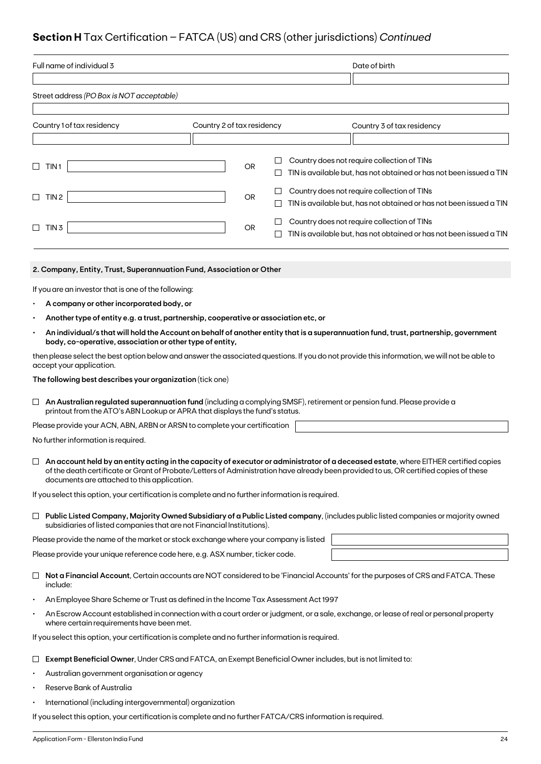## **Section H** Tax Certification – FATCA (US) and CRS (other jurisdictions) *Continued*

| Full name of individual 3                                                                                                                                                                                  |                            |           |        | Date of birth                                                                                                                                                                                                                                                                 |
|------------------------------------------------------------------------------------------------------------------------------------------------------------------------------------------------------------|----------------------------|-----------|--------|-------------------------------------------------------------------------------------------------------------------------------------------------------------------------------------------------------------------------------------------------------------------------------|
|                                                                                                                                                                                                            |                            |           |        |                                                                                                                                                                                                                                                                               |
| Street address (PO Box is NOT acceptable)                                                                                                                                                                  |                            |           |        |                                                                                                                                                                                                                                                                               |
| Country 1 of tax residency                                                                                                                                                                                 | Country 2 of tax residency |           |        | Country 3 of tax residency                                                                                                                                                                                                                                                    |
|                                                                                                                                                                                                            |                            |           |        |                                                                                                                                                                                                                                                                               |
| TIN <sub>1</sub><br>$\Box$                                                                                                                                                                                 |                            | <b>OR</b> | ш      | Country does not require collection of TINs<br>TIN is available but, has not obtained or has not been issued a TIN                                                                                                                                                            |
|                                                                                                                                                                                                            |                            |           |        |                                                                                                                                                                                                                                                                               |
| TIN <sub>2</sub><br>⊔                                                                                                                                                                                      |                            | OR        | ⊔<br>⊔ | Country does not require collection of TINs<br>TIN is available but, has not obtained or has not been issued a TIN                                                                                                                                                            |
| TIN <sub>3</sub><br>$\Box$                                                                                                                                                                                 |                            | OR        | ப      | Country does not require collection of TINs<br>TIN is available but, has not obtained or has not been issued a TIN                                                                                                                                                            |
| 2. Company, Entity, Trust, Superannuation Fund, Association or Other                                                                                                                                       |                            |           |        |                                                                                                                                                                                                                                                                               |
| If you are an investor that is one of the following:                                                                                                                                                       |                            |           |        |                                                                                                                                                                                                                                                                               |
| A company or other incorporated body, or                                                                                                                                                                   |                            |           |        |                                                                                                                                                                                                                                                                               |
| Another type of entity e.g. a trust, partnership, cooperative or association etc, or                                                                                                                       |                            |           |        |                                                                                                                                                                                                                                                                               |
| $\bullet$<br>body, co-operative, association or other type of entity,                                                                                                                                      |                            |           |        | An individual/s that will hold the Account on behalf of another entity that is a superannuation fund, trust, partnership, government                                                                                                                                          |
| then please select the best option below and answer the associated questions. If you do not provide this information, we will not be able to<br>accept your application.                                   |                            |           |        |                                                                                                                                                                                                                                                                               |
| The following best describes your organization (tick one)                                                                                                                                                  |                            |           |        |                                                                                                                                                                                                                                                                               |
| An Australian regulated superannuation fund (including a complying SMSF), retirement or pension fund. Please provide a<br>⊔<br>printout from the ATO's ABN Lookup or APRA that displays the fund's status. |                            |           |        |                                                                                                                                                                                                                                                                               |
| Please provide your ACN, ABN, ARBN or ARSN to complete your certification                                                                                                                                  |                            |           |        |                                                                                                                                                                                                                                                                               |
| No further information is required.                                                                                                                                                                        |                            |           |        |                                                                                                                                                                                                                                                                               |
| documents are attached to this application.                                                                                                                                                                |                            |           |        | An account held by an entity acting in the capacity of executor or administrator of a deceased estate, where EITHER certified copies<br>of the death certificate or Grant of Probate/Letters of Administration have already been provided to us, OR certified copies of these |
| If you select this option, your certification is complete and no further information is required.                                                                                                          |                            |           |        |                                                                                                                                                                                                                                                                               |
| subsidiaries of listed companies that are not Financial Institutions).                                                                                                                                     |                            |           |        | $\Box$ Public Listed Company, Majority Owned Subsidiary of a Public Listed company, (includes public listed companies or majority owned                                                                                                                                       |
| Please provide the name of the market or stock exchange where your company is listed                                                                                                                       |                            |           |        |                                                                                                                                                                                                                                                                               |
| Please provide your unique reference code here, e.g. ASX number, ticker code.                                                                                                                              |                            |           |        |                                                                                                                                                                                                                                                                               |
| ⊔<br>include:                                                                                                                                                                                              |                            |           |        | Not a Financial Account, Certain accounts are NOT considered to be 'Financial Accounts' for the purposes of CRS and FATCA. These                                                                                                                                              |
| An Employee Share Scheme or Trust as defined in the Income Tax Assessment Act 1997                                                                                                                         |                            |           |        |                                                                                                                                                                                                                                                                               |
| $\bullet$<br>where certain requirements have been met.                                                                                                                                                     |                            |           |        | An Escrow Account established in connection with a court order or judgment, or a sale, exchange, or lease of real or personal property                                                                                                                                        |
| If you select this option, your certification is complete and no further information is required.                                                                                                          |                            |           |        |                                                                                                                                                                                                                                                                               |
| Exempt Beneficial Owner, Under CRS and FATCA, an Exempt Beneficial Owner includes, but is not limited to:                                                                                                  |                            |           |        |                                                                                                                                                                                                                                                                               |

- Australian government organisation or agency
- Reserve Bank of Australia
- International (including intergovernmental) organization

If you select this option, your certification is complete and no further FATCA/CRS information is required.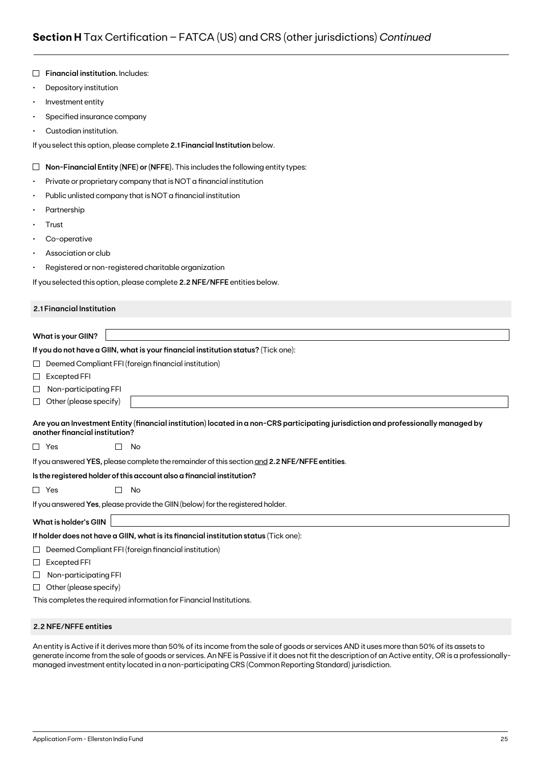| $\bullet$ | Depository institution                                                                                                                                               |
|-----------|----------------------------------------------------------------------------------------------------------------------------------------------------------------------|
| ٠         | Investment entity                                                                                                                                                    |
| ٠         | Specified insurance company                                                                                                                                          |
|           | Custodian institution.                                                                                                                                               |
|           | If you select this option, please complete 2.1 Financial Institution below.                                                                                          |
| Ц         | Non-Financial Entity (NFE) or (NFFE). This includes the following entity types:                                                                                      |
| ٠         | Private or proprietary company that is NOT a financial institution                                                                                                   |
| ٠         | Public unlisted company that is NOT a financial institution                                                                                                          |
| ٠         | Partnership                                                                                                                                                          |
|           | Trust                                                                                                                                                                |
|           | Co-operative                                                                                                                                                         |
| ٠         | Association or club                                                                                                                                                  |
| ٠         | Registered or non-registered charitable organization                                                                                                                 |
|           | If you selected this option, please complete 2.2 NFE/NFFE entities below.                                                                                            |
|           |                                                                                                                                                                      |
|           | 2.1 Financial Institution                                                                                                                                            |
|           |                                                                                                                                                                      |
|           | What is your GIIN?                                                                                                                                                   |
|           | If you do not have a GIIN, what is your financial institution status? (Tick one):                                                                                    |
| ⊔         | Deemed Compliant FFI (foreign financial institution)                                                                                                                 |
| ப         | Excepted FFI                                                                                                                                                         |
| ⊔         | Non-participating FFI                                                                                                                                                |
| ⊔         | Other (please specify)                                                                                                                                               |
|           | Are you an Investment Entity (financial institution) located in a non-CRS participating jurisdiction and professionally managed by<br>another financial institution? |
|           | $\Box$ Yes<br>No<br>$\mathsf{L}$                                                                                                                                     |
|           | If you answered YES, please complete the remainder of this section and 2.2 NFE/NFFE entities.                                                                        |
|           |                                                                                                                                                                      |
|           | Is the registered holder of this account also a financial institution?                                                                                               |
| $\Box$    | No<br>Yes                                                                                                                                                            |
|           | If you answered Yes, please provide the GIIN (below) for the registered holder.                                                                                      |
|           | What is holder's GIIN                                                                                                                                                |
|           | If holder does not have a GIIN, what is its financial institution status (Tick one):                                                                                 |
| ⊔         | Deemed Compliant FFI (foreign financial institution)                                                                                                                 |
| ⊔         | <b>Excepted FFI</b>                                                                                                                                                  |
| $\Box$    | Non-participating FFI                                                                                                                                                |
| ⊔         | Other (please specify)                                                                                                                                               |

### **2.2 NFE/NFFE entities**

**Financial institution.** Includes:

An entity is Active if it derives more than 50% of its income from the sale of goods or services AND it uses more than 50% of its assets to generate income from the sale of goods or services. An NFE is Passive if it does not fit the description of an Active entity, OR is a professionallymanaged investment entity located in a non-participating CRS (Common Reporting Standard) jurisdiction.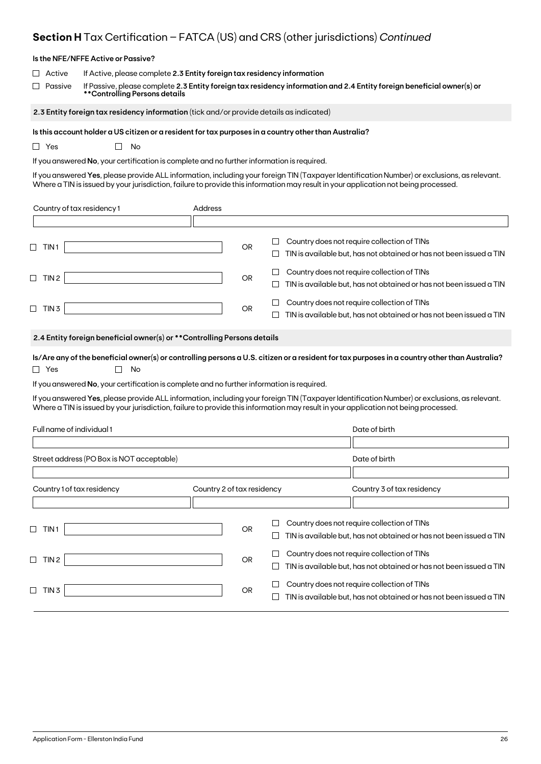## **Section H** Tax Certification – FATCA (US) and CRS (other jurisdictions) *Continued*

|                              | Is the NFE/NFFE Active or Passive?                                                                                                                                                                                        |                            |           |             |                                                                                                                                                                                                                                                                                     |
|------------------------------|---------------------------------------------------------------------------------------------------------------------------------------------------------------------------------------------------------------------------|----------------------------|-----------|-------------|-------------------------------------------------------------------------------------------------------------------------------------------------------------------------------------------------------------------------------------------------------------------------------------|
| Active<br>Passive            | If Active, please complete 2.3 Entity foreign tax residency information<br>**Controlling Persons details                                                                                                                  |                            |           |             | If Passive, please complete 2.3 Entity foreign tax residency information and 2.4 Entity foreign beneficial owner(s) or                                                                                                                                                              |
|                              | 2.3 Entity foreign tax residency information (tick and/or provide details as indicated)                                                                                                                                   |                            |           |             |                                                                                                                                                                                                                                                                                     |
| $\Box$ Yes                   | Is this account holder a US citizen or a resident for tax purposes in a country other than Australia?<br>No<br>$\mathbf{L}$<br>If you answered No, your certification is complete and no further information is required. |                            |           |             | If you answered Yes, please provide ALL information, including your foreign TIN (Taxpayer Identification Number) or exclusions, as relevant.<br>Where a TIN is issued by your jurisdiction, failure to provide this information may result in your application not being processed. |
| Country of tax residency 1   |                                                                                                                                                                                                                           | Address                    |           |             |                                                                                                                                                                                                                                                                                     |
|                              |                                                                                                                                                                                                                           |                            |           |             |                                                                                                                                                                                                                                                                                     |
| $\Box$ TIN1                  |                                                                                                                                                                                                                           |                            | <b>OR</b> | $\Box$<br>⊔ | Country does not require collection of TINs<br>TIN is available but, has not obtained or has not been issued a TIN                                                                                                                                                                  |
| $\Box$ TIN 2                 |                                                                                                                                                                                                                           |                            | OR        | ப<br>⊔      | Country does not require collection of TINs<br>TIN is available but, has not obtained or has not been issued a TIN                                                                                                                                                                  |
| $\Box$ TIN 3                 |                                                                                                                                                                                                                           |                            | OR        |             | Country does not require collection of TINs<br>TIN is available but, has not obtained or has not been issued a TIN                                                                                                                                                                  |
|                              | 2.4 Entity foreign beneficial owner(s) or ** Controlling Persons details                                                                                                                                                  |                            |           |             |                                                                                                                                                                                                                                                                                     |
| $\Box$ Yes                   | No                                                                                                                                                                                                                        |                            |           |             | Is/Are any of the beneficial owner(s) or controlling persons a U.S. citizen or a resident for tax purposes in a country other than Australia?                                                                                                                                       |
|                              | If you answered No, your certification is complete and no further information is required.                                                                                                                                |                            |           |             |                                                                                                                                                                                                                                                                                     |
|                              |                                                                                                                                                                                                                           |                            |           |             | If you answered Yes, please provide ALL information, including your foreign TIN (Taxpayer Identification Number) or exclusions, as relevant.<br>Where a TIN is issued by your jurisdiction, failure to provide this information may result in your application not being processed. |
| Full name of individual 1    |                                                                                                                                                                                                                           |                            |           |             | Date of birth                                                                                                                                                                                                                                                                       |
|                              | Street address (PO Box is NOT acceptable)                                                                                                                                                                                 |                            |           |             | Date of birth                                                                                                                                                                                                                                                                       |
|                              |                                                                                                                                                                                                                           |                            |           |             |                                                                                                                                                                                                                                                                                     |
| Country 1 of tax residency   |                                                                                                                                                                                                                           | Country 2 of tax residency |           |             | Country 3 of tax residency                                                                                                                                                                                                                                                          |
| $\sqcup$<br>TIN <sub>1</sub> |                                                                                                                                                                                                                           |                            | <b>OR</b> | ப           | Country does not require collection of TINs<br>TIN is available but, has not obtained or has not been issued a TIN                                                                                                                                                                  |
| $\Box$ TIN 2                 |                                                                                                                                                                                                                           |                            | <b>OR</b> | $\Box$<br>ப | Country does not require collection of TINs<br>TIN is available but, has not obtained or has not been issued a TIN                                                                                                                                                                  |
| $\Box$ TIN 3                 |                                                                                                                                                                                                                           |                            | OR        | ப<br>$\Box$ | Country does not require collection of TINs<br>TIN is available but, has not obtained or has not been issued a TIN                                                                                                                                                                  |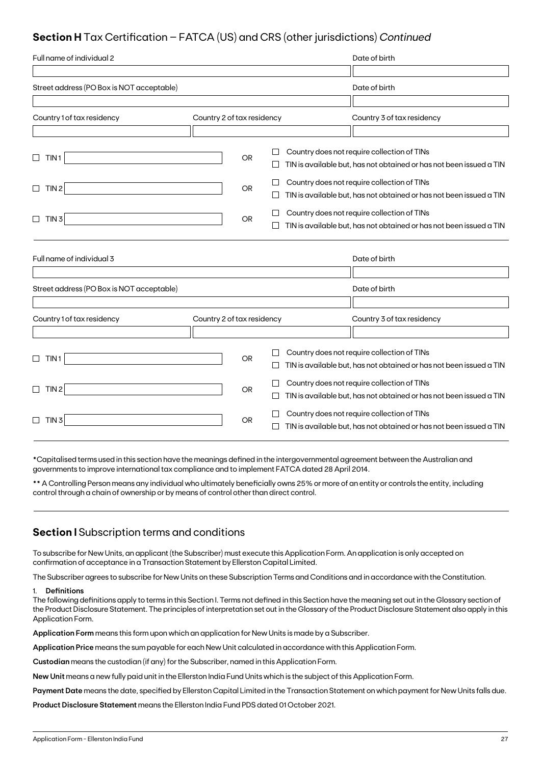## **Section H** Tax Certification – FATCA (US) and CRS (other jurisdictions) *Continued*

| Full name of individual 2                 |                            |           |         | Date of birth                                                                                                      |
|-------------------------------------------|----------------------------|-----------|---------|--------------------------------------------------------------------------------------------------------------------|
|                                           |                            |           |         |                                                                                                                    |
| Street address (PO Box is NOT acceptable) |                            |           |         | Date of birth                                                                                                      |
|                                           |                            |           |         |                                                                                                                    |
| Country 1 of tax residency                | Country 2 of tax residency |           |         | Country 3 of tax residency                                                                                         |
|                                           |                            |           |         |                                                                                                                    |
| TIN <sub>1</sub><br>$\sqcup$              |                            | <b>OR</b> |         | Country does not require collection of TINs<br>TIN is available but, has not obtained or has not been issued a TIN |
| TIN <sub>2</sub><br>$\Box$                |                            | <b>OR</b> |         | Country does not require collection of TINs<br>TIN is available but, has not obtained or has not been issued a TIN |
| TIN3<br>$\Box$                            |                            | <b>OR</b> |         | Country does not require collection of TINs<br>TIN is available but, has not obtained or has not been issued a TIN |
| Full name of individual 3                 |                            |           |         | Date of birth                                                                                                      |
| Street address (PO Box is NOT acceptable) |                            |           |         | Date of birth                                                                                                      |
|                                           |                            |           |         |                                                                                                                    |
| Country 1 of tax residency                | Country 2 of tax residency |           |         | Country 3 of tax residency                                                                                         |
|                                           |                            |           |         |                                                                                                                    |
| $\Box$<br>TIN 1                           |                            | <b>OR</b> | $\perp$ | Country does not require collection of TINs<br>TIN is available but, has not obtained or has not been issued a TIN |
| TIN <sub>2</sub><br>$\Box$                |                            | <b>OR</b> |         | Country does not require collection of TINs<br>TIN is available but, has not obtained or has not been issued a TIN |
| TIN 3                                     |                            | <b>OR</b> |         | Country does not require collection of TINs<br>TIN is available but, has not obtained or has not been issued a TIN |

\*Capitalised terms used in this section have the meanings defined in the intergovernmental agreement between the Australian and governments to improve international tax compliance and to implement FATCA dated 28 April 2014.

\*\* A Controlling Person means any individual who ultimately beneficially owns 25% or more of an entity or controls the entity, including control through a chain of ownership or by means of control other than direct control.

### **Section I** Subscription terms and conditions

To subscribe for New Units, an applicant (the Subscriber) must execute this Application Form. An application is only accepted on confirmation of acceptance in a Transaction Statement by Ellerston Capital Limited.

The Subscriber agrees to subscribe for New Units on these Subscription Terms and Conditions and in accordance with the Constitution.

### 1. **Definitions**

The following definitions apply to terms in this Section I. Terms not defined in this Section have the meaning set out in the Glossary section of the Product Disclosure Statement. The principles of interpretation set out in the Glossary of the Product Disclosure Statement also apply in this Application Form.

**Application Form** means this form upon which an application for New Units is made by a Subscriber.

**Application Price** means the sum payable for each New Unit calculated in accordance with this Application Form.

**Custodian** means the custodian (if any) for the Subscriber, named in this Application Form.

**New Unit** means a new fully paid unit in the Ellerston India Fund Units which is the subject of this Application Form.

**Payment Date** means the date, specified by Ellerston Capital Limited in the Transaction Statement on which payment for New Units falls due.

**Product Disclosure Statement** means the Ellerston India Fund PDS dated 01 October 2021.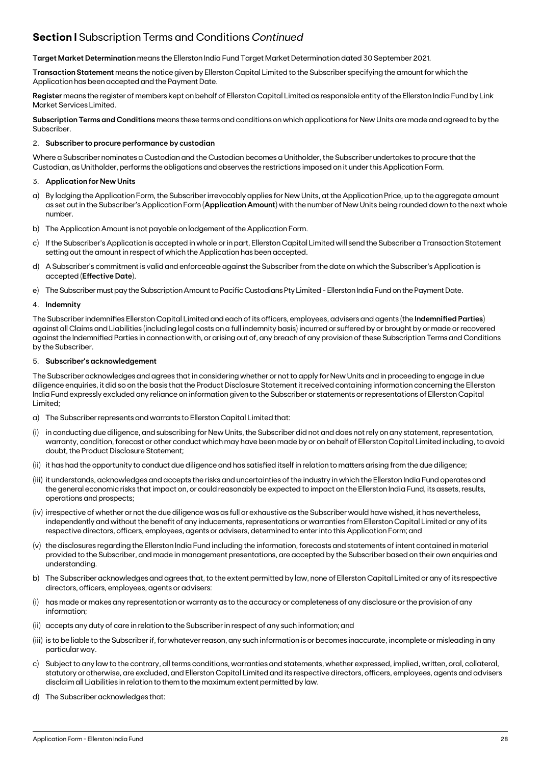## **Section I** Subscription Terms and Conditions *Continued*

**Target Market Determination** means the Ellerston India Fund Target Market Determination dated 30 September 2021.

**Transaction Statement** means the notice given by Ellerston Capital Limited to the Subscriber specifying the amount for which the Application has been accepted and the Payment Date.

**Register** means the register of members kept on behalf of Ellerston Capital Limited as responsible entity of the Ellerston India Fund by Link Market Services Limited.

**Subscription Terms and Conditions** means these terms and conditions on which applications for New Units are made and agreed to by the Subscriber.

### 2. **Subscriber to procure performance by custodian**

Where a Subscriber nominates a Custodian and the Custodian becomes a Unitholder, the Subscriber undertakes to procure that the Custodian, as Unitholder, performs the obligations and observes the restrictions imposed on it under this Application Form.

### 3. **Application for New Units**

- a) By lodging the Application Form, the Subscriber irrevocably applies for New Units, at the Application Price, up to the aggregate amount as set out in the Subscriber's Application Form (**Application Amount**) with the number of New Units being rounded down to the next whole number.
- b) The Application Amount is not payable on lodgement of the Application Form.
- c) If the Subscriber's Application is accepted in whole or in part, Ellerston Capital Limited will send the Subscriber a Transaction Statement setting out the amount in respect of which the Application has been accepted.
- d) A Subscriber's commitment is valid and enforceable against the Subscriber from the date on which the Subscriber's Application is accepted (**Effective Date**).
- e) The Subscriber must pay the Subscription Amount to Pacific Custodians Pty Limited Ellerston India Fund on the Payment Date.

### 4. **Indemnity**

The Subscriber indemnifies Ellerston Capital Limited and each of its officers, employees, advisers and agents (the **Indemnified Parties**) against all Claims and Liabilities (including legal costs on a full indemnity basis) incurred or suffered by or brought by or made or recovered against the Indemnified Parties in connection with, or arising out of, any breach of any provision of these Subscription Terms and Conditions by the Subscriber.

### 5. **Subscriber's acknowledgement**

The Subscriber acknowledges and agrees that in considering whether or not to apply for New Units and in proceeding to engage in due diligence enquiries, it did so on the basis that the Product Disclosure Statement it received containing information concerning the Ellerston India Fund expressly excluded any reliance on information given to the Subscriber or statements or representations of Ellerston Capital Limited;

- a) The Subscriber represents and warrants to Ellerston Capital Limited that:
- in conducting due diligence, and subscribing for New Units, the Subscriber did not and does not rely on any statement, representation, warranty, condition, forecast or other conduct which may have been made by or on behalf of Ellerston Capital Limited including, to avoid doubt, the Product Disclosure Statement;
- (ii) it has had the opportunity to conduct due diligence and has satisfied itself in relation to matters arising from the due diligence;
- (iii) it understands, acknowledges and accepts the risks and uncertainties of the industry in which the Ellerston India Fund operates and the general economic risks that impact on, or could reasonably be expected to impact on the Ellerston India Fund, its assets, results, operations and prospects;
- (iv) irrespective of whether or not the due diligence was as full or exhaustive as the Subscriber would have wished, it has nevertheless, independently and without the benefit of any inducements, representations or warranties from Ellerston Capital Limited or any of its respective directors, officers, employees, agents or advisers, determined to enter into this Application Form; and
- (v) the disclosures regarding the Ellerston India Fund including the information, forecasts and statements of intent contained in material provided to the Subscriber, and made in management presentations, are accepted by the Subscriber based on their own enquiries and understanding.
- b) The Subscriber acknowledges and agrees that, to the extent permitted by law, none of Ellerston Capital Limited or any of its respective directors, officers, employees, agents or advisers:
- (i) has made or makes any representation or warranty as to the accuracy or completeness of any disclosure or the provision of any information;
- (ii) accepts any duty of care in relation to the Subscriber in respect of any such information; and
- (iii) is to be liable to the Subscriber if, for whatever reason, any such information is or becomes inaccurate, incomplete or misleading in any particular way.
- c) Subject to any law to the contrary, all terms conditions, warranties and statements, whether expressed, implied, written, oral, collateral, statutory or otherwise, are excluded, and Ellerston Capital Limited and its respective directors, officers, employees, agents and advisers disclaim all Liabilities in relation to them to the maximum extent permitted by law.
- d) The Subscriber acknowledges that: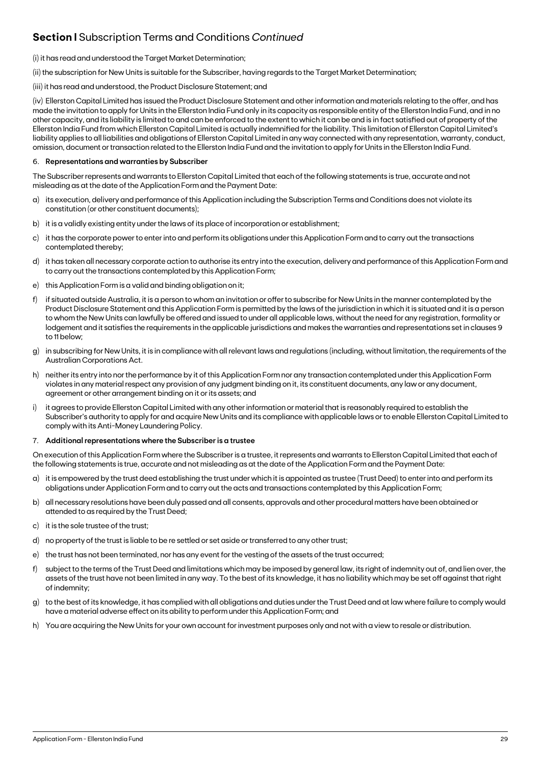## **Section I** Subscription Terms and Conditions *Continued*

### (i) it has read and understood the Target Market Determination;

(ii) the subscription for New Units is suitable for the Subscriber, having regards to the Target Market Determination;

(iii) it has read and understood, the Product Disclosure Statement; and

(iv) Ellerston Capital Limited has issued the Product Disclosure Statement and other information and materials relating to the offer, and has made the invitation to apply for Units in the Ellerston India Fund only in its capacity as responsible entity of the Ellerston India Fund, and in no other capacity, and its liability is limited to and can be enforced to the extent to which it can be and is in fact satisfied out of property of the Ellerston India Fund from which Ellerston Capital Limited is actually indemnified for the liability. This limitation of Ellerston Capital Limited's liability applies to all liabilities and obligations of Ellerston Capital Limited in any way connected with any representation, warranty, conduct, omission, document or transaction related to the Ellerston India Fund and the invitation to apply for Units in the Ellerston India Fund.

### 6. **Representations and warranties by Subscriber**

The Subscriber represents and warrants to Ellerston Capital Limited that each of the following statements is true, accurate and not misleading as at the date of the Application Form and the Payment Date:

- a) its execution, delivery and performance of this Application including the Subscription Terms and Conditions does not violate its constitution (or other constituent documents);
- b) it is a validly existing entity under the laws of its place of incorporation or establishment;
- c) it has the corporate power to enter into and perform its obligations under this Application Form and to carry out the transactions contemplated thereby;
- d) it has taken all necessary corporate action to authorise its entry into the execution, delivery and performance of this Application Form and to carry out the transactions contemplated by this Application Form;
- e) this Application Form is a valid and binding obligation on it;
- f) if situated outside Australia, it is a person to whom an invitation or offer to subscribe for New Units in the manner contemplated by the Product Disclosure Statement and this Application Form is permitted by the laws of the jurisdiction in which it is situated and it is a person to whom the New Units can lawfully be offered and issued to under all applicable laws, without the need for any registration, formality or lodgement and it satisfies the requirements in the applicable jurisdictions and makes the warranties and representations set in clauses 9 to 11 below;
- g) in subscribing for New Units, it is in compliance with all relevant laws and regulations (including, without limitation, the requirements of the Australian Corporations Act.
- h) neither its entry into nor the performance by it of this Application Form nor any transaction contemplated under this Application Form violates in any material respect any provision of any judgment binding on it, its constituent documents, any law or any document, agreement or other arrangement binding on it or its assets; and
- i) it agrees to provide Ellerston Capital Limited with any other information or material that is reasonably required to establish the Subscriber's authority to apply for and acquire New Units and its compliance with applicable laws or to enable Ellerston Capital Limited to comply with its Anti-Money Laundering Policy.

### 7. **Additional representations where the Subscriber is a trustee**

On execution of this Application Form where the Subscriber is a trustee, it represents and warrants to Ellerston Capital Limited that each of the following statements is true, accurate and not misleading as at the date of the Application Form and the Payment Date:

- a) it is empowered by the trust deed establishing the trust under which it is appointed as trustee (Trust Deed) to enter into and perform its obligations under Application Form and to carry out the acts and transactions contemplated by this Application Form;
- b) all necessary resolutions have been duly passed and all consents, approvals and other procedural matters have been obtained or attended to as required by the Trust Deed;
- c) it is the sole trustee of the trust;
- d) no property of the trust is liable to be re settled or set aside or transferred to any other trust;
- e) the trust has not been terminated, nor has any event for the vesting of the assets of the trust occurred;
- f) subject to the terms of the Trust Deed and limitations which may be imposed by general law, its right of indemnity out of, and lien over, the assets of the trust have not been limited in any way. To the best of its knowledge, it has no liability which may be set off against that right of indemnity;
- g) to the best of its knowledge, it has complied with all obligations and duties under the Trust Deed and at law where failure to comply would have a material adverse effect on its ability to perform under this Application Form; and
- h) You are acquiring the New Units for your own account for investment purposes only and not with a view to resale or distribution.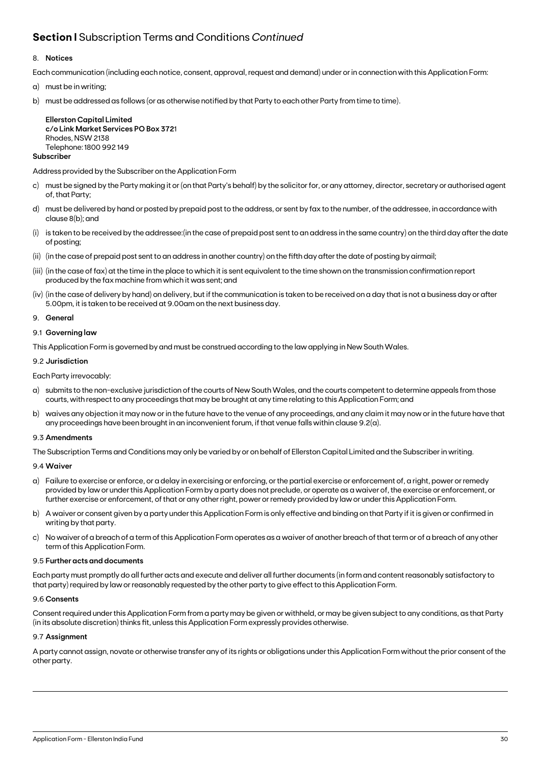## **Section I** Subscription Terms and Conditions *Continued*

### 8. **Notices**

Each communication (including each notice, consent, approval, request and demand) under or in connection with this Application Form:

- a) must be in writing;
- b) must be addressed as follows (or as otherwise notified by that Party to each other Party from time to time).

**Ellerston Capital Limited c/o Link Market Services PO Box 372**1 Rhodes, NSW 2138 Telephone: 1800 992 149

### **Subscriber**

Address provided by the Subscriber on the Application Form

- c) must be signed by the Party making it or (on that Party's behalf) by the solicitor for, or any attorney, director, secretary or authorised agent of, that Party;
- d) must be delivered by hand or posted by prepaid post to the address, or sent by fax to the number, of the addressee, in accordance with clause 8(b); and
- (i) is taken to be received by the addressee:(in the case of prepaid post sent to an address in the same country) on the third day after the date of posting;
- (ii) (in the case of prepaid post sent to an address in another country) on the fifth day after the date of posting by airmail;
- (iii) (in the case of fax) at the time in the place to which it is sent equivalent to the time shown on the transmission confirmation report produced by the fax machine from which it was sent; and
- (iv) (in the case of delivery by hand) on delivery, but if the communication is taken to be received on a day that is not a business day or after 5.00pm, it is taken to be received at 9.00am on the next business day.
- 9. **General**

### 9.1 **Governing law**

This Application Form is governed by and must be construed according to the law applying in New South Wales.

### 9.2 **Jurisdiction**

Each Party irrevocably:

- a) submits to the non-exclusive jurisdiction of the courts of New South Wales, and the courts competent to determine appeals from those courts, with respect to any proceedings that may be brought at any time relating to this Application Form; and
- b) waives any objection it may now or in the future have to the venue of any proceedings, and any claim it may now or in the future have that any proceedings have been brought in an inconvenient forum, if that venue falls within clause 9.2(a).

### 9.3 **Amendments**

The Subscription Terms and Conditions may only be varied by or on behalf of Ellerston Capital Limited and the Subscriber in writing.

### 9.4 **Waiver**

- a) Failure to exercise or enforce, or a delay in exercising or enforcing, or the partial exercise or enforcement of, a right, power or remedy provided by law or under this Application Form by a party does not preclude, or operate as a waiver of, the exercise or enforcement, or further exercise or enforcement, of that or any other right, power or remedy provided by law or under this Application Form.
- b) A waiver or consent given by a party under this Application Form is only effective and binding on that Party if it is given or confirmed in writing by that party.
- c) No waiver of a breach of a term of this Application Form operates as a waiver of another breach of that term or of a breach of any other term of this Application Form.

### 9.5 **Further acts and documents**

Each party must promptly do all further acts and execute and deliver all further documents (in form and content reasonably satisfactory to that party) required by law or reasonably requested by the other party to give effect to this Application Form.

### 9.6 **Consents**

Consent required under this Application Form from a party may be given or withheld, or may be given subject to any conditions, as that Party (in its absolute discretion) thinks fit, unless this Application Form expressly provides otherwise.

### 9.7 **Assignment**

A party cannot assign, novate or otherwise transfer any of its rights or obligations under this Application Form without the prior consent of the other party.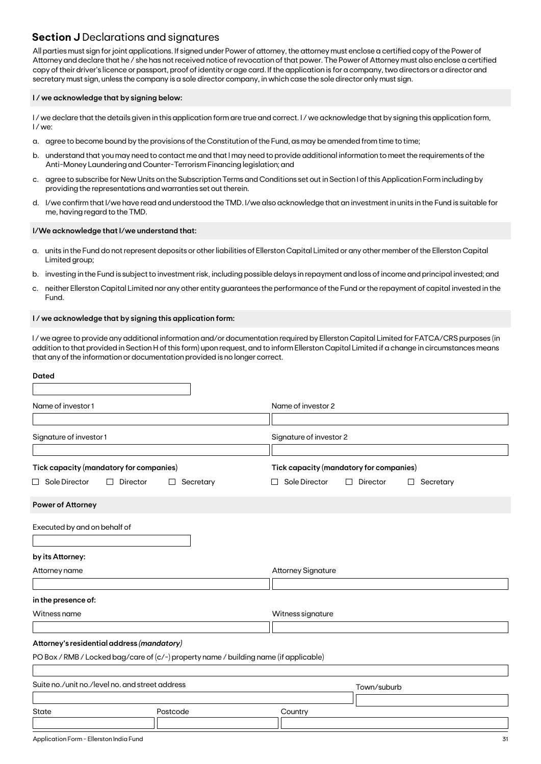### **Section J** Declarations and signatures

All parties must sign for joint applications. If signed under Power of attorney, the attorney must enclose a certified copy of the Power of Attorney and declare that he / she has not received notice of revocation of that power. The Power of Attorney must also enclose a certified copy of their driver's licence or passport, proof of identity or age card. If the application is for a company, two directors or a director and secretary must sign, unless the company is a sole director company, in which case the sole director only must sign.

### **I / we acknowledge that by signing below:**

I/we declare that the details given in this application form are true and correct. I/we acknowledge that by signing this application form, I / we:

- a. agree to become bound by the provisions of the Constitution of the Fund, as may be amended from time to time;
- b. understand that you may need to contact me and that I may need to provide additional information to meet the requirements of the Anti-Money Laundering and Counter-Terrorism Financing legislation; and
- c. agree to subscribe for New Units on the Subscription Terms and Conditions set out in Section I of this Application Form including by providing the representations and warranties set out therein.
- d. I/we confirm that I/we have read and understood the TMD. I/we also acknowledge that an investment in units in the Fund is suitable for me, having regard to the TMD.

### **I/We acknowledge that I/we understand that:**

- a. units in the Fund do not represent deposits or other liabilities of Ellerston Capital Limited or any other member of the Ellerston Capital Limited group;
- b. investing in the Fund is subject to investment risk, including possible delays in repayment and loss of income and principal invested; and
- c. neither Ellerston Capital Limited nor any other entity guarantees the performance of the Fund or the repayment of capital invested in the Fund.

### **I / we acknowledge that by signing this application form:**

I / we agree to provide any additional information and/or documentation required by Ellerston Capital Limited for FATCA/CRS purposes (in addition to that provided in Section H of this form) upon request, and to inform Ellerston Capital Limited if a change in circumstances means that any of the information or documentation provided is no longer correct.

| <b>Dated</b>                                                                                                                        |                |                                                       |
|-------------------------------------------------------------------------------------------------------------------------------------|----------------|-------------------------------------------------------|
| Name of investor1                                                                                                                   |                | Name of investor 2                                    |
| Signature of investor 1                                                                                                             |                | Signature of investor 2                               |
| Tick capacity (mandatory for companies)                                                                                             |                | Tick capacity (mandatory for companies)               |
| $\Box$ Sole Director<br>Director<br>$\perp$<br><b>Power of Attorney</b>                                                             | Secretary<br>ப | Sole Director<br>Director<br>$\Box$<br>Secretary<br>ப |
| Executed by and on behalf of<br>by its Attorney:                                                                                    |                |                                                       |
| Attorney name                                                                                                                       |                | <b>Attorney Signature</b>                             |
| in the presence of:<br>Witness name                                                                                                 |                | Witness signature                                     |
|                                                                                                                                     |                |                                                       |
| Attorney's residential address (mandatory)<br>PO Box / RMB / Locked bag/care of (c/-) property name / building name (if applicable) |                |                                                       |
| Suite no./unit no./level no. and street address                                                                                     |                | Town/suburb                                           |
| <b>State</b>                                                                                                                        | Postcode       | Country                                               |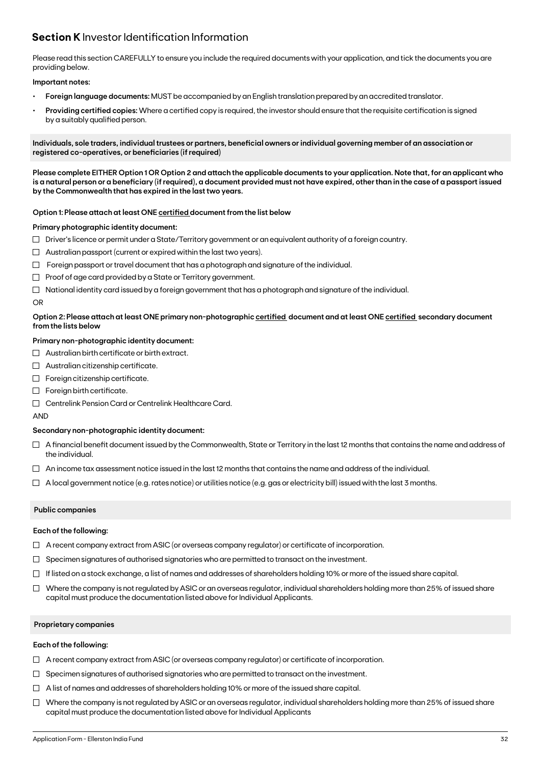## **Section K** Investor Identification Information

Please read this section CAREFULLY to ensure you include the required documents with your application, and tick the documents you are providing below.

### **Important notes:**

- **• Foreign language documents:** MUST be accompanied by an English translation prepared by an accredited translator.
- **Providing certified copies:** Where a certified copy is required, the investor should ensure that the requisite certification is signed by a suitably qualified person.

**Individuals, sole traders, individual trustees or partners, beneficial owners or individual governing member of an association or registered co-operatives, or beneficiaries (if required)**

**Please complete EITHER Option 1 OR Option 2 and attach the applicable documents to your application. Note that, for an applicant who is a natural person or a beneficiary (if required), a document provided must not have expired, other than in the case of a passport issued by the Commonwealth that has expired in the last two years.**

### **Option 1: Please attach at least ONE certified document from the list below**

### **Primary photographic identity document:**

- $\Box$  Driver's licence or permit under a State/Territory government or an equivalent authority of a foreign country.
- $\Box$  Australian passport (current or expired within the last two years).
- $\Box$  Foreign passport or travel document that has a photograph and signature of the individual.
- $\Box$  Proof of age card provided by a State or Territory government.
- $\Box$  National identity card issued by a foreign government that has a photograph and signature of the individual.

### OR

### **Option 2: Please attach at least ONE primary non-photographic certified document and at least ONE certified secondary document from the lists below**

### **Primary non-photographic identity document:**

- $\Box$  Australian birth certificate or birth extract.
- $\Box$  Australian citizenship certificate.
- $\Box$  Foreign citizenship certificate.
- Foreign birth certificate.
- Centrelink Pension Card or Centrelink Healthcare Card.

AND

### **Secondary non-photographic identity document:**

- $\Box$  A financial benefit document issued by the Commonwealth, State or Territory in the last 12 months that contains the name and address of the individual.
- $\Box$  An income tax assessment notice issued in the last 12 months that contains the name and address of the individual.
- $\Box$  A local government notice (e.g. rates notice) or utilities notice (e.g. gas or electricity bill) issued with the last 3 months.

### **Public companies**

### **Each of the following:**

- $\Box$  A recent company extract from ASIC (or overseas company regulator) or certificate of incorporation.
- $\Box$  Specimen signatures of authorised signatories who are permitted to transact on the investment.
- $\Box$  If listed on a stock exchange, a list of names and addresses of shareholders holding 10% or more of the issued share capital.
- $\Box$  Where the company is not regulated by ASIC or an overseas regulator, individual shareholders holding more than 25% of issued share capital must produce the documentation listed above for Individual Applicants.

### **Proprietary companies**

### **Each of the following:**

- $\Box$  A recent company extract from ASIC (or overseas company regulator) or certificate of incorporation.
- $\Box$  Specimen signatures of authorised signatories who are permitted to transact on the investment.
- $\Box$  A list of names and addresses of shareholders holding 10% or more of the issued share capital.
- $\Box$  Where the company is not regulated by ASIC or an overseas regulator, individual shareholders holding more than 25% of issued share capital must produce the documentation listed above for Individual Applicants